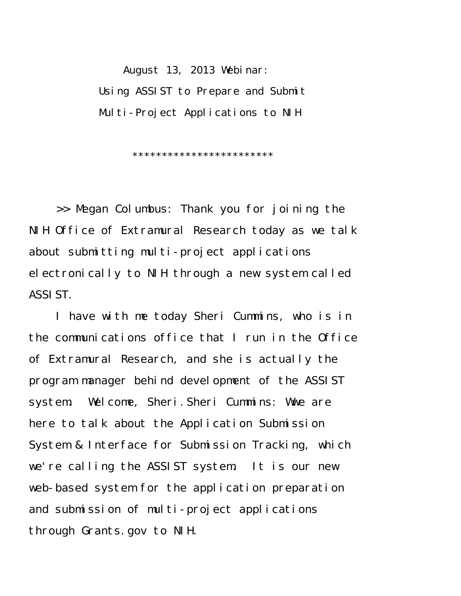August 13, 2013 Webinar: Using ASSIST to Prepare and Submit Multi-Project Applications to NIH

\*\*\*\*\*\*\*\*\*\*\*\*\*\*\*\*\*\*\*\*\*\*\*\*

>> Megan Columbus: Thank you for joining the NIH Office of Extramural Research today as we talk about submitting multi-project applications electronically to NIH through a new system called ASSIST.

I have with me today Sheri Cummins, who is in the communications office that I run in the Office of Extramural Research, and she is actually the program manager behind development of the ASSIST system. Welcome, Sheri.Sheri Cummins: Wwe are here to talk about the Application Submission System & Interface for Submission Tracking, which we're calling the ASSIST system. It is our new web-based system for the application preparation and submission of multi-project applications through Grants.gov to NIH.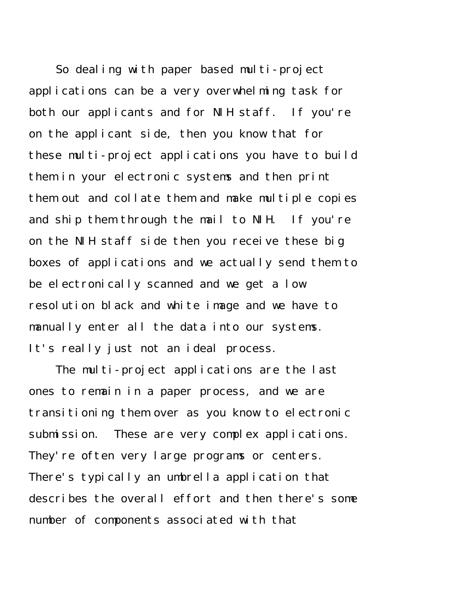So dealing with paper based multi-project applications can be a very overwhelming task for both our applicants and for NIH staff. If you're on the applicant side, then you know that for these multi-project applications you have to build them in your electronic systems and then print them out and collate them and make multiple copies and ship them through the mail to NIH. If you're on the NIH staff side then you receive these big boxes of applications and we actually send them to be electronically scanned and we get a low resolution black and white image and we have to manually enter all the data into our systems. It's really just not an ideal process.

The multi-project applications are the last ones to remain in a paper process, and we are transitioning them over as you know to electronic submission. These are very complex applications. They're often very large programs or centers. There's typically an umbrella application that describes the overall effort and then there's some number of components associated with that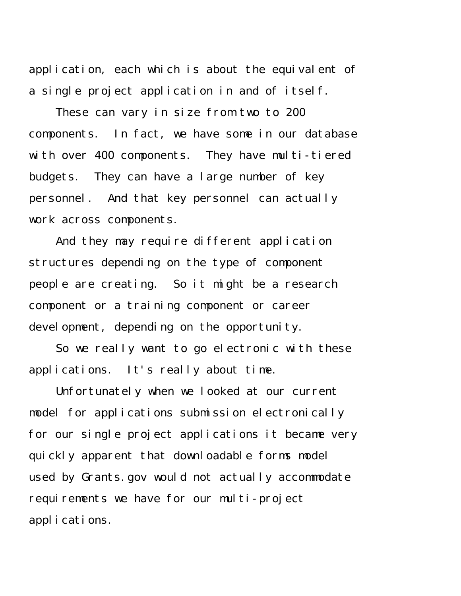application, each which is about the equivalent of a single project application in and of itself.

These can vary in size from two to 200 components. In fact, we have some in our database with over 400 components. They have multi-tiered budgets. They can have a large number of key personnel. And that key personnel can actually work across components.

And they may require different application structures depending on the type of component people are creating. So it might be a research component or a training component or career devel opment, depending on the opportunity.

So we really want to go electronic with these applications. It's really about time.

Unfortunately when we looked at our current model for applications submission electronically for our single project applications it became very quickly apparent that downloadable forms model used by Grants.gov would not actually accommodate requirements we have for our multi-project applications.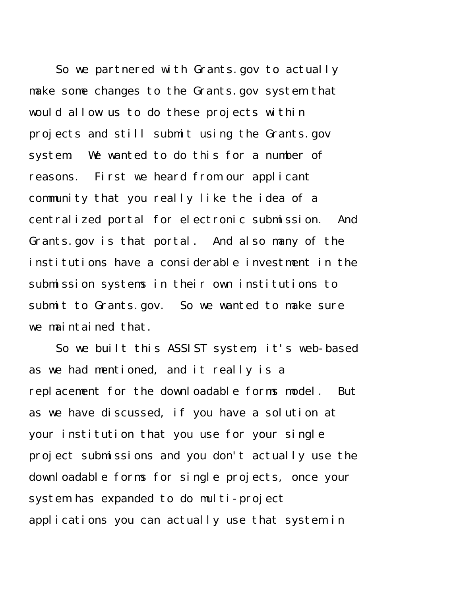So we partnered with Grants.gov to actually make some changes to the Grants.gov system that would allow us to do these projects within projects and still submit using the Grants.gov system. We wanted to do this for a number of reasons. First we heard from our applicant community that you really like the idea of a centralized portal for electronic submission. And Grants.gov is that portal. And also many of the institutions have a considerable investment in the submission systems in their own institutions to submit to Grants.gov. So we wanted to make sure we maintained that.

So we built this ASSIST system, it's web-based as we had mentioned, and it really is a replacement for the downloadable forms model. But as we have discussed, if you have a solution at your institution that you use for your single project submissions and you don't actually use the downloadable forms for single projects, once your system has expanded to do multi-project applications you can actually use that system in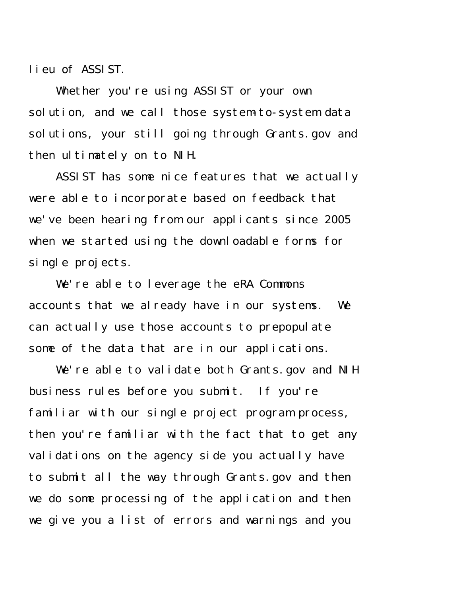lieu of ASSIST.

Whether you're using ASSIST or your own solution, and we call those system-to-system data solutions, your still going through Grants.gov and then ultimately on to NIH.

ASSIST has some nice features that we actually were able to incorporate based on feedback that we've been hearing from our applicants since 2005 when we started using the downloadable forms for single projects.

We're able to leverage the eRA Commons accounts that we already have in our systems. We can actually use those accounts to prepopulate some of the data that are in our applications.

We're able to validate both Grants.gov and NIH business rules before you submit. If you're familiar with our single project program process, then you're familiar with the fact that to get any validations on the agency side you actually have to submit all the way through Grants.gov and then we do some processing of the application and then we give you a list of errors and warnings and you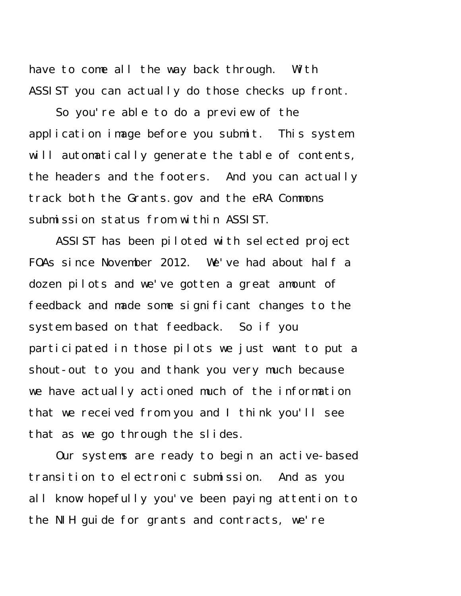have to come all the way back through. With ASSIST you can actually do those checks up front.

So you're able to do a preview of the application image before you submit. This system will automatically generate the table of contents, the headers and the footers. And you can actually track both the Grants.gov and the eRA Commons submission status from within ASSIST.

ASSIST has been piloted with selected project FOAs since November 2012. We've had about half a dozen pilots and we've gotten a great amount of feedback and made some significant changes to the system based on that feedback. So if you participated in those pilots we just want to put a shout-out to you and thank you very much because we have actually actioned much of the information that we received from you and I think you'll see that as we go through the slides.

Our systems are ready to begin an active-based transition to electronic submission. And as you all know hopefully you've been paying attention to the NIH guide for grants and contracts, we're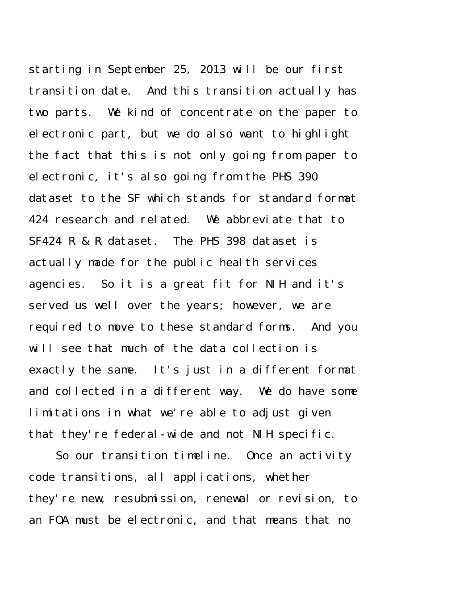starting in September 25, 2013 will be our first transition date. And this transition actually has two parts. We kind of concentrate on the paper to electronic part, but we do also want to highlight the fact that this is not only going from paper to electronic, it's also going from the PHS 390 dataset to the SF which stands for standard format 424 research and related. We abbreviate that to SF424 R & R dataset. The PHS 398 dataset is actually made for the public health services agencies. So it is a great fit for NIH and it's served us well over the years; however, we are required to move to these standard forms. And you will see that much of the data collection is exactly the same. It's just in a different format and collected in a different way. We do have some limitations in what we're able to adjust given that they're federal-wide and not NIH specific.

So our transition timeline. Once an activity code transitions, all applications, whether they're new, resubmission, renewal or revision, to an FOA must be electronic, and that means that no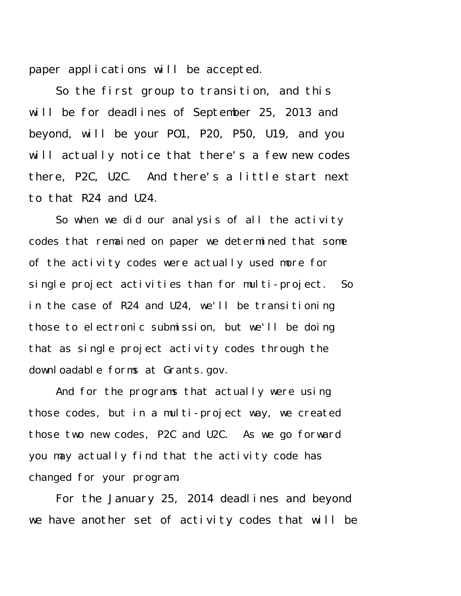paper applications will be accepted.

So the first group to transition, and this will be for deadlines of September 25, 2013 and beyond, will be your PO1, P20, P50, U19, and you will actually notice that there's a few new codes there, P2C, U2C. And there's a little start next to that R24 and U24.

So when we did our analysis of all the activity codes that remained on paper we determined that some of the activity codes were actually used more for single project activities than for multi-project. So in the case of R24 and U24, we'll be transitioning those to electronic submission, but we'll be doing that as single project activity codes through the downloadable forms at Grants.gov.

And for the programs that actually were using those codes, but in a multi-project way, we created those two new codes, P2C and U2C. As we go forward you may actually find that the activity code has changed for your program.

For the January 25, 2014 deadlines and beyond we have another set of activity codes that will be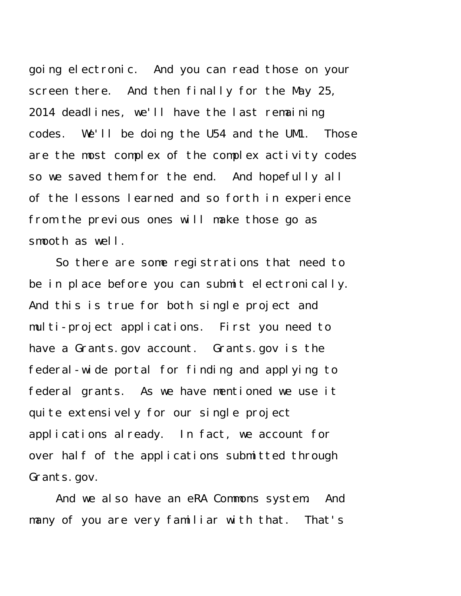going electronic. And you can read those on your screen there. And then finally for the May 25, 2014 deadlines, we'll have the last remaining codes. We'll be doing the U54 and the UM1. Those are the most complex of the complex activity codes so we saved them for the end. And hopefully all of the lessons learned and so forth in experience from the previous ones will make those go as smooth as well.

So there are some registrations that need to be in place before you can submit electronically. And this is true for both single project and multi-project applications. First you need to have a Grants.gov account. Grants.gov is the federal-wide portal for finding and applying to federal grants. As we have mentioned we use it quite extensively for our single project applications already. In fact, we account for over half of the applications submitted through Grants.gov.

And we also have an eRA Commons system. And many of you are very familiar with that. That's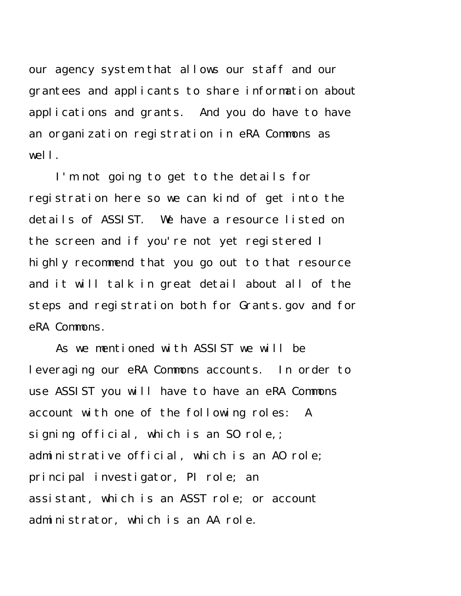our agency system that allows our staff and our grantees and applicants to share information about applications and grants. And you do have to have an organization registration in eRA Commons as well.

I'm not going to get to the details for registration here so we can kind of get into the details of ASSIST. We have a resource listed on the screen and if you're not yet registered I highly recommend that you go out to that resource and it will talk in great detail about all of the steps and registration both for Grants.gov and for eRA Commons.

As we mentioned with ASSIST we will be leveraging our eRA Commons accounts. In order to use ASSIST you will have to have an eRA Commons account with one of the following roles: A signing official, which is an S0 role,; administrative official, which is an AO role; principal investigator, PI role; an assistant, which is an ASST role; or account administrator, which is an AA role.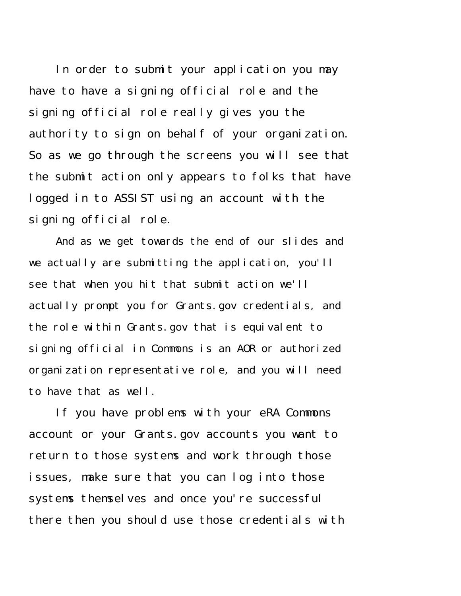In order to submit your application you may have to have a signing official role and the signing official role really gives you the authority to sign on behalf of your organization. So as we go through the screens you will see that the submit action only appears to folks that have logged in to ASSIST using an account with the signing official role.

And as we get towards the end of our slides and we actually are submitting the application, you'll see that when you hit that submit action we'll actually prompt you for Grants.gov credentials, and the role within Grants.gov that is equivalent to signing official in Commons is an AOR or authorized organization representative role, and you will need to have that as well.

If you have problems with your eRA Commons account or your Grants.gov accounts you want to return to those systems and work through those issues, make sure that you can log into those systems themselves and once you're successful there then you should use those credentials with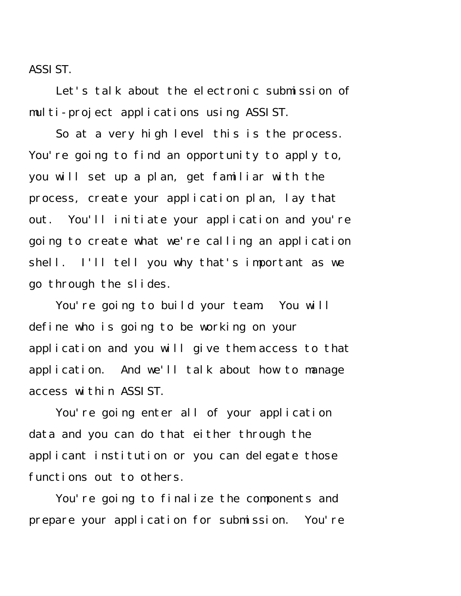ASSIST.

Let's talk about the electronic submission of multi-project applications using ASSIST.

So at a very high level this is the process. You're going to find an opportunity to apply to, you will set up a plan, get familiar with the process, create your application plan, lay that out. You'll initiate your application and you're going to create what we're calling an application shell. I'll tell you why that's important as we go through the slides.

You're going to build your team. You will define who is going to be working on your application and you will give them access to that application. And we'll talk about how to manage access within ASSIST.

You're going enter all of your application data and you can do that either through the applicant institution or you can delegate those functions out to others.

You're going to finalize the components and prepare your application for submission. You're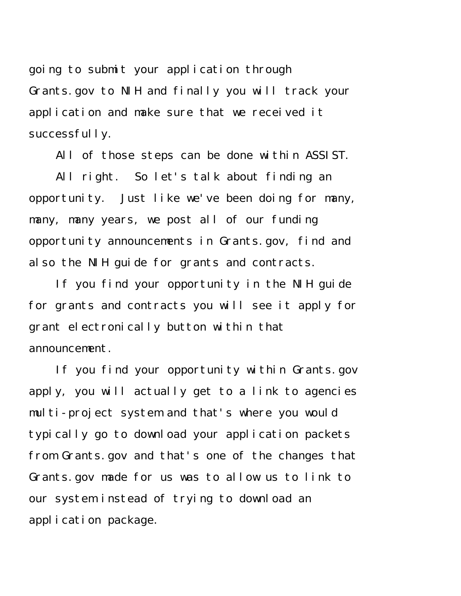going to submit your application through Grants.gov to NIH and finally you will track your application and make sure that we received it successfully.

All of those steps can be done within ASSIST.

All right. So let's talk about finding an opportunity. Just like we've been doing for many, many, many years, we post all of our funding opportunity announcements in Grants.gov, find and also the NIH guide for grants and contracts.

If you find your opportunity in the NIH guide for grants and contracts you will see it apply for grant electronically button within that announcement.

If you find your opportunity within Grants.gov apply, you will actually get to a link to agencies multi-project system and that's where you would typically go to download your application packets from Grants.gov and that's one of the changes that Grants.gov made for us was to allow us to link to our system instead of trying to download an application package.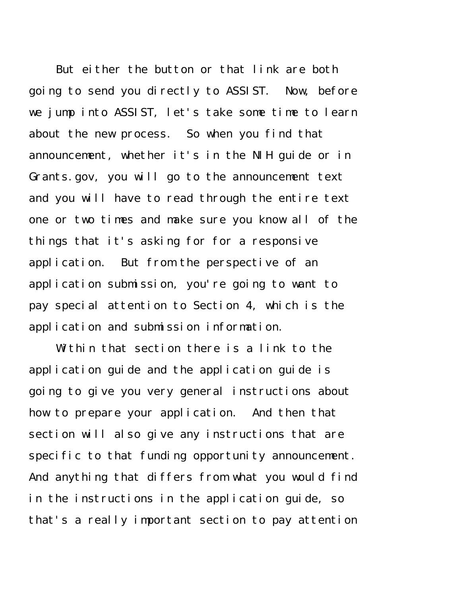But either the button or that link are both going to send you directly to ASSIST. Now, before we jump into ASSIST, let's take some time to learn about the new process. So when you find that announcement, whether it's in the NIH guide or in Grants.gov, you will go to the announcement text and you will have to read through the entire text one or two times and make sure you know all of the things that it's asking for for a responsive application. But from the perspective of an application submission, you're going to want to pay special attention to Section 4, which is the application and submission information.

Within that section there is a link to the application guide and the application guide is going to give you very general instructions about how to prepare your application. And then that section will also give any instructions that are specific to that funding opportunity announcement. And anything that differs from what you would find in the instructions in the application guide, so that's a really important section to pay attention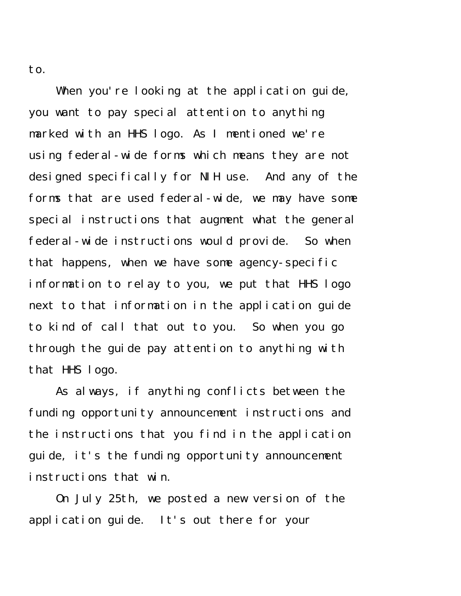to.

When you're looking at the application guide, you want to pay special attention to anything marked with an HHS logo. As I mentioned we're using federal-wide forms which means they are not designed specifically for NIH use. And any of the forms that are used federal-wide, we may have some special instructions that augment what the general federal-wide instructions would provide. So when that happens, when we have some agency-specific information to relay to you, we put that HHS logo next to that information in the application guide to kind of call that out to you. So when you go through the guide pay attention to anything with that HHS logo.

As always, if anything conflicts between the funding opportunity announcement instructions and the instructions that you find in the application guide, it's the funding opportunity announcement instructions that win.

On July 25th, we posted a new version of the application guide. It's out there for your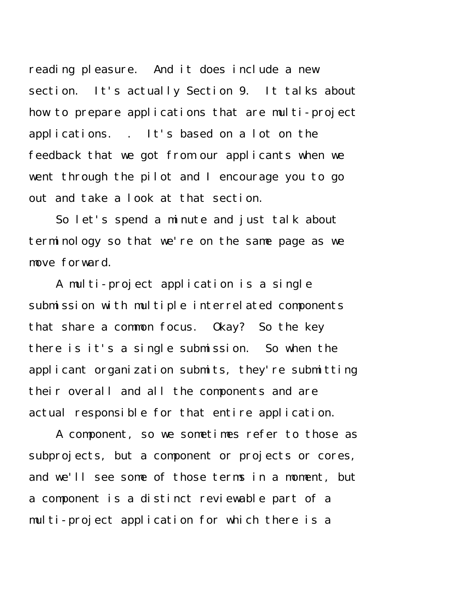reading pleasure. And it does include a new section. It's actually Section 9. It talks about how to prepare applications that are multi-project applications. . It's based on a lot on the feedback that we got from our applicants when we went through the pilot and I encourage you to go out and take a look at that section.

So let's spend a minute and just talk about terminology so that we're on the same page as we move forward.

A multi-project application is a single submission with multiple interrelated components that share a common focus. Okay? So the key there is it's a single submission. So when the applicant organization submits, they're submitting their overall and all the components and are actual responsible for that entire application.

A component, so we sometimes refer to those as subprojects, but a component or projects or cores, and we'll see some of those terms in a moment, but a component is a distinct reviewable part of a multi-project application for which there is a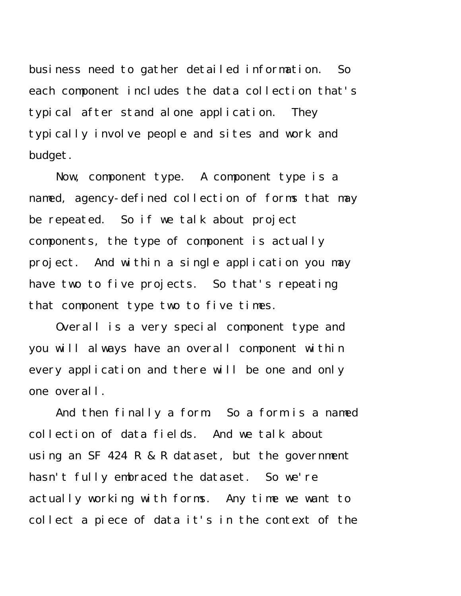business need to gather detailed information. So each component includes the data collection that's typical after stand alone application. They typically involve people and sites and work and budget.

Now, component type. A component type is a named, agency-defined collection of forms that may be repeated. So if we talk about project components, the type of component is actually project. And within a single application you may have two to five projects. So that's repeating that component type two to five times.

Overall is a very special component type and you will always have an overall component within every application and there will be one and only one overall.

And then finally a form. So a form is a named collection of data fields. And we talk about using an SF 424 R & R dataset, but the government hasn't fully embraced the dataset. So we're actually working with forms. Any time we want to collect a piece of data it's in the context of the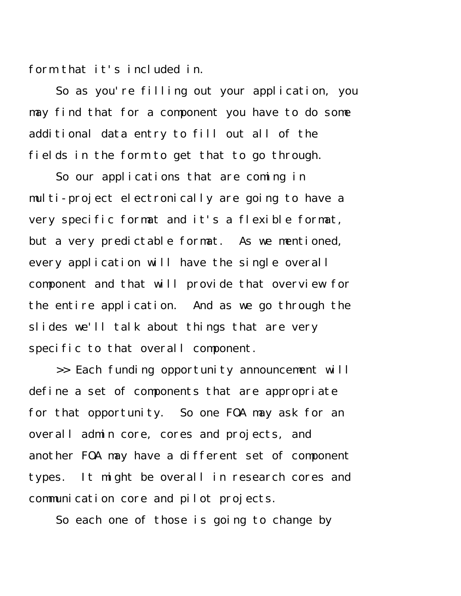form that it's included in.

So as you're filling out your application, you may find that for a component you have to do some additional data entry to fill out all of the fields in the form to get that to go through.

So our applications that are coming in multi-project electronically are going to have a very specific format and it's a flexible format, but a very predictable format. As we mentioned, every application will have the single overall component and that will provide that overview for the entire application. And as we go through the slides we'll talk about things that are very specific to that overall component.

>> Each funding opportunity announcement will define a set of components that are appropriate for that opportunity. So one FOA may ask for an overall admin core, cores and projects, and another FOA may have a different set of component types. It might be overall in research cores and communication core and pilot projects.

So each one of those is going to change by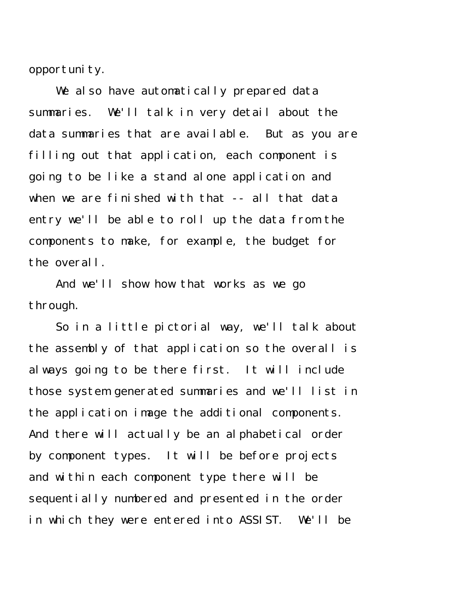opportunity.

We also have automatically prepared data summaries. We'll talk in very detail about the data summaries that are available. But as you are filling out that application, each component is going to be like a stand alone application and when we are finished with that -- all that data entry we'll be able to roll up the data from the components to make, for example, the budget for the overall.

And we'll show how that works as we go through.

So in a little pictorial way, we'll talk about the assembly of that application so the overall is always going to be there first. It will include those system generated summaries and we'll list in the application image the additional components. And there will actually be an alphabetical order by component types. It will be before projects and within each component type there will be sequentially numbered and presented in the order in which they were entered into ASSIST. We'll be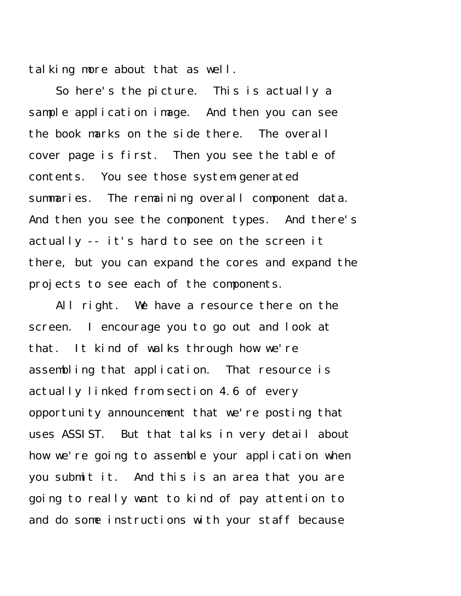talking more about that as well.

So here's the picture. This is actually a sample application image. And then you can see the book marks on the side there. The overall cover page is first. Then you see the table of contents. You see those system-generated summaries. The remaining overall component data. And then you see the component types. And there's actually -- it's hard to see on the screen it there, but you can expand the cores and expand the projects to see each of the components.

All right. We have a resource there on the screen. I encourage you to go out and look at that. It kind of walks through how we're assembling that application. That resource is actually linked from section 4.6 of every opportunity announcement that we're posting that uses ASSIST. But that talks in very detail about how we're going to assemble your application when you submit it. And this is an area that you are going to really want to kind of pay attention to and do some instructions with your staff because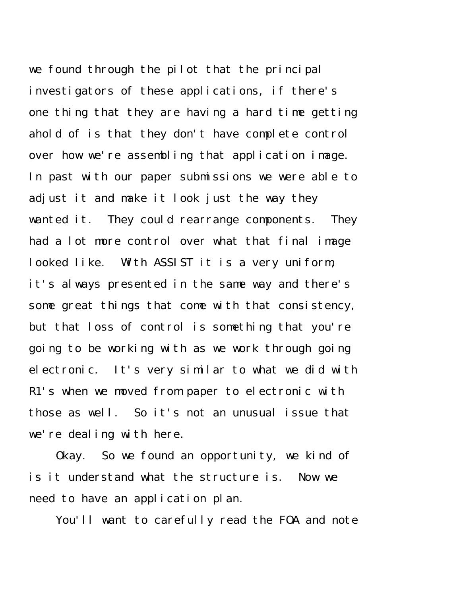we found through the pilot that the principal investigators of these applications, if there's one thing that they are having a hard time getting ahold of is that they don't have complete control over how we're assembling that application image. In past with our paper submissions we were able to adjust it and make it look just the way they wanted it. They could rearrange components. They had a lot more control over what that final image looked like. With ASSIST it is a very uniform, it's always presented in the same way and there's some great things that come with that consistency, but that loss of control is something that you're going to be working with as we work through going electronic. It's very similar to what we did with R1's when we moved from paper to electronic with those as well. So it's not an unusual issue that we're dealing with here.

Okay. So we found an opportunity, we kind of is it understand what the structure is. Now we need to have an application plan.

You'll want to carefully read the FOA and note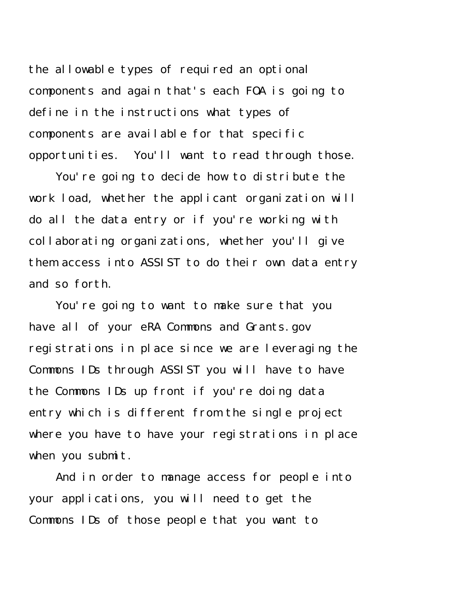the allowable types of required an optional components and again that's each FOA is going to define in the instructions what types of components are available for that specific opportunities. You'll want to read through those.

You're going to decide how to distribute the work load, whether the applicant organization will do all the data entry or if you're working with collaborating organizations, whether you'll give them access into ASSIST to do their own data entry and so forth.

You're going to want to make sure that you have all of your eRA Commons and Grants.gov registrations in place since we are leveraging the Commons IDs through ASSIST you will have to have the Commons IDs up front if you're doing data entry which is different from the single project where you have to have your registrations in place when you submit.

And in order to manage access for people into your applications, you will need to get the Commons IDs of those people that you want to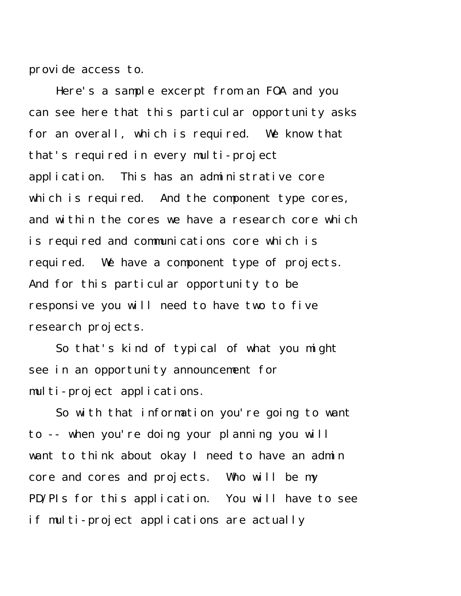provide access to.

Here's a sample excerpt from an FOA and you can see here that this particular opportunity asks for an overall, which is required. We know that that's required in every multi-project application. This has an administrative core which is required. And the component type cores, and within the cores we have a research core which is required and communications core which is required. We have a component type of projects. And for this particular opportunity to be responsive you will need to have two to five research projects.

So that's kind of typical of what you might see in an opportunity announcement for multi-project applications.

So with that information you're going to want to -- when you're doing your planning you will want to think about okay I need to have an admin core and cores and projects. Who will be my PD/PIs for this application. You will have to see if multi-project applications are actually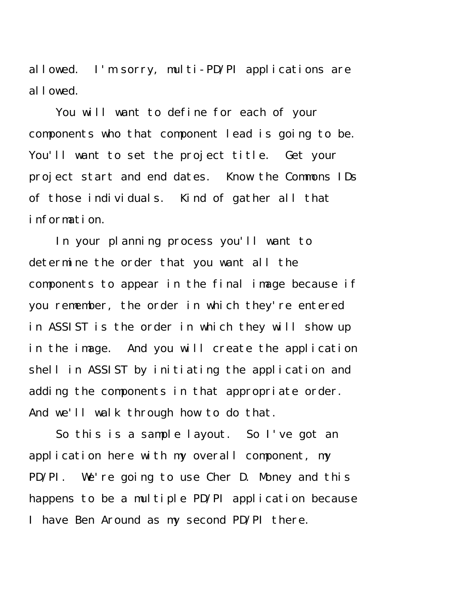allowed. I'm sorry, multi-PD/PI applications are allowed.

You will want to define for each of your components who that component lead is going to be. You'll want to set the project title. Get your project start and end dates. Know the Commons IDs of those individuals. Kind of gather all that information.

In your planning process you'll want to determine the order that you want all the components to appear in the final image because if you remember, the order in which they're entered in ASSIST is the order in which they will show up in the image. And you will create the application shell in ASSIST by initiating the application and adding the components in that appropriate order. And we'll walk through how to do that.

So this is a sample layout. So I've got an application here with my overall component, my PD/PI. We're going to use Cher D. Money and this happens to be a multiple PD/PI application because I have Ben Around as my second PD/PI there.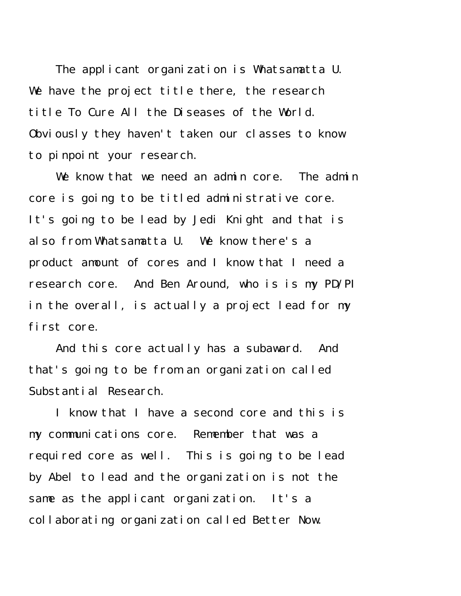The applicant organization is Whatsamatta U. We have the project title there, the research title To Cure All the Diseases of the World. Obviously they haven't taken our classes to know to pinpoint your research.

We know that we need an admin core. The admin core is going to be titled administrative core. It's going to be lead by Jedi Knight and that is also from Whatsamatta U. We know there's a product amount of cores and I know that I need a research core. And Ben Around, who is is my PD/PI in the overall, is actually a project lead for my first core.

And this core actually has a subaward. And that's going to be from an organization called Substantial Research.

I know that I have a second core and this is my communications core. Remember that was a required core as well. This is going to be lead by Abel to lead and the organization is not the same as the applicant organization. It's a collaborating organization called Better Now.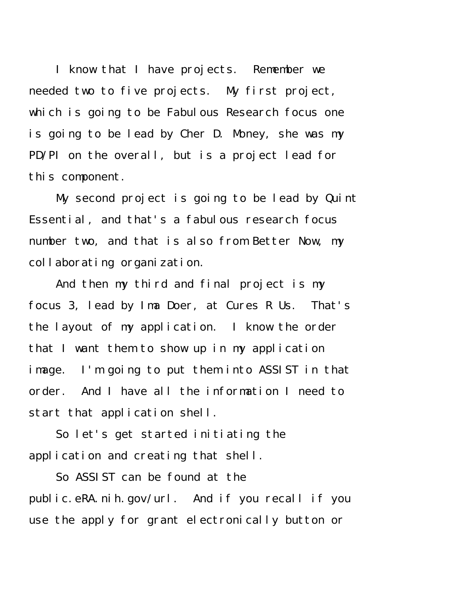I know that I have projects. Remember we needed two to five projects. My first project, which is going to be Fabulous Research focus one is going to be lead by Cher D. Money, she was my PD/PI on the overall, but is a project lead for this component.

My second project is going to be lead by Quint Essential, and that's a fabulous research focus number two, and that is also from Better Now, my collaborating organization.

And then my third and final project is my focus 3, lead by Ima Doer, at Cures R Us. That's the layout of my application. I know the order that I want them to show up in my application image. I'm going to put them into ASSIST in that order. And I have all the information I need to start that application shell.

So let's get started initiating the application and creating that shell.

So ASSIST can be found at the public.eRA.nih.gov/url. And if you recall if you use the apply for grant electronically button or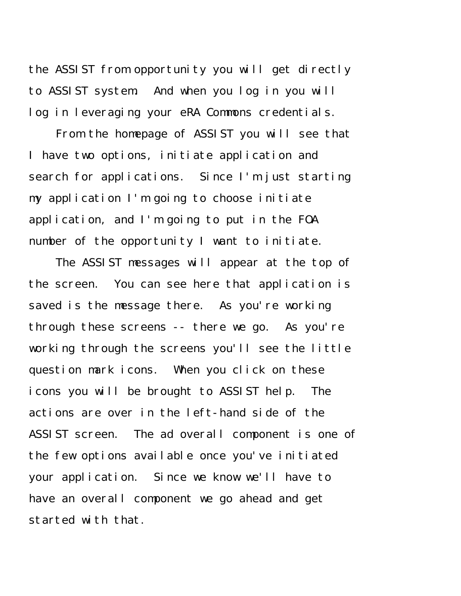the ASSIST from opportunity you will get directly to ASSIST system. And when you log in you will log in leveraging your eRA Commons credentials.

From the homepage of ASSIST you will see that I have two options, initiate application and search for applications. Since I'm just starting my application I'm going to choose initiate application, and I'm going to put in the FOA number of the opportunity I want to initiate.

The ASSIST messages will appear at the top of the screen. You can see here that application is saved is the message there. As you're working through these screens -- there we go. As you're working through the screens you'll see the little question mark icons. When you click on these icons you will be brought to ASSIST help. The actions are over in the left-hand side of the ASSIST screen. The ad overall component is one of the few options available once you've initiated your application. Since we know we'll have to have an overall component we go ahead and get started with that.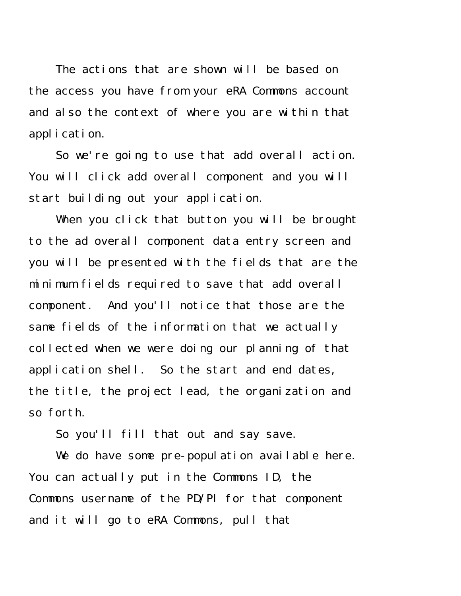The actions that are shown will be based on the access you have from your eRA Commons account and also the context of where you are within that application.

So we're going to use that add overall action. You will click add overall component and you will start building out your application.

When you click that button you will be brought to the ad overall component data entry screen and you will be presented with the fields that are the minimum fields required to save that add overall component. And you'll notice that those are the same fields of the information that we actually collected when we were doing our planning of that application shell. So the start and end dates, the title, the project lead, the organization and so forth.

So you'll fill that out and say save.

We do have some pre-population available here. You can actually put in the Commons ID, the Commons username of the PD/PI for that component and it will go to eRA Commons, pull that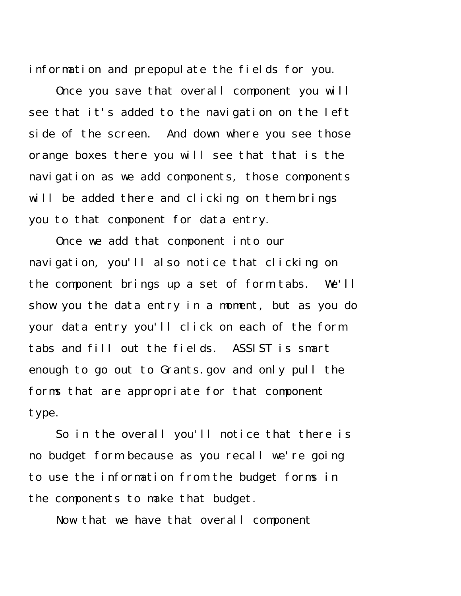information and prepopulate the fields for you.

Once you save that overall component you will see that it's added to the navigation on the left side of the screen. And down where you see those orange boxes there you will see that that is the navigation as we add components, those components will be added there and clicking on them brings you to that component for data entry.

Once we add that component into our navigation, you'll also notice that clicking on the component brings up a set of form tabs. We'll show you the data entry in a moment, but as you do your data entry you'll click on each of the form tabs and fill out the fields. ASSIST is smart enough to go out to Grants.gov and only pull the forms that are appropriate for that component type.

So in the overall you'll notice that there is no budget form because as you recall we're going to use the information from the budget forms in the components to make that budget.

Now that we have that overall component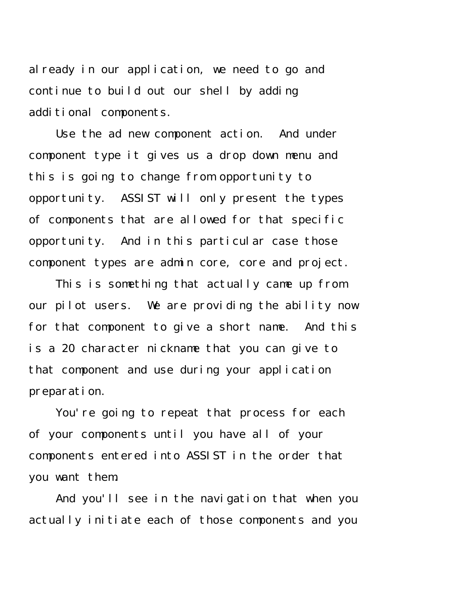already in our application, we need to go and continue to build out our shell by adding additional components.

Use the ad new component action. And under component type it gives us a drop down menu and this is going to change from opportunity to opportunity. ASSIST will only present the types of components that are allowed for that specific opportunity. And in this particular case those component types are admin core, core and project.

This is something that actually came up from our pilot users. We are providing the ability now for that component to give a short name. And this is a 20 character nickname that you can give to that component and use during your application preparation.

You're going to repeat that process for each of your components until you have all of your components entered into ASSIST in the order that you want them.

And you'll see in the navigation that when you actually initiate each of those components and you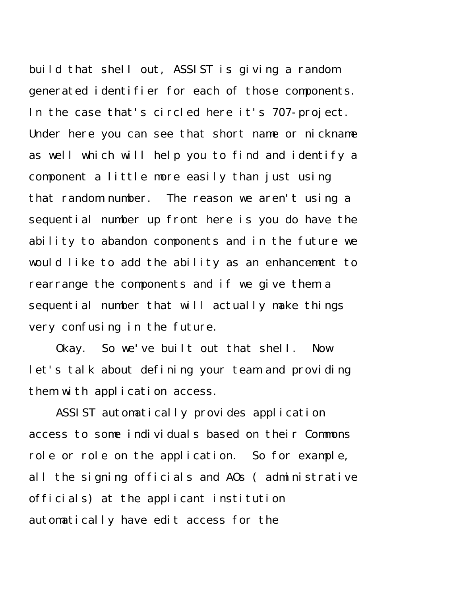build that shell out, ASSIST is giving a random generated identifier for each of those components. In the case that's circled here it's 707-project. Under here you can see that short name or nickname as well which will help you to find and identify a component a little more easily than just using that random number. The reason we aren't using a sequential number up front here is you do have the ability to abandon components and in the future we would like to add the ability as an enhancement to rearrange the components and if we give them a sequential number that will actually make things very confusing in the future.

Okay. So we've built out that shell. Now let's talk about defining your team and providing them with application access.

ASSIST automatically provides application access to some individuals based on their Commons role or role on the application. So for example, all the signing officials and AOs ( administrative officials) at the applicant institution automatically have edit access for the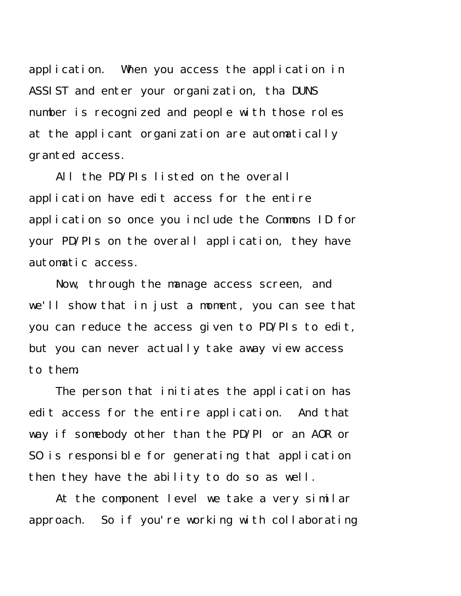application. When you access the application in ASSIST and enter your organization, tha DUNS number is recognized and people with those roles at the applicant organization are automatically granted access.

All the PD/PIs listed on the overall application have edit access for the entire application so once you include the Commons ID for your PD/PIs on the overall application, they have automatic access.

Now, through the manage access screen, and we'll show that in just a moment, you can see that you can reduce the access given to PD/PIs to edit, but you can never actually take away view access to them.

The person that initiates the application has edit access for the entire application. And that way if somebody other than the PD/PI or an AOR or SO is responsible for generating that application then they have the ability to do so as well.

At the component level we take a very similar approach. So if you're working with collaborating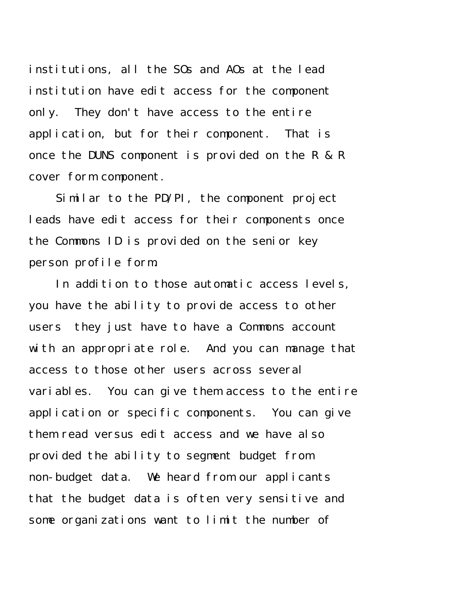institutions, all the SOs and AOs at the lead institution have edit access for the component only. They don't have access to the entire application, but for their component. That is once the DUNS component is provided on the R & R cover form component.

Similar to the PD/PI, the component project leads have edit access for their components once the Commons ID is provided on the senior key person profile form.

In addition to those automatic access levels, you have the ability to provide access to other users they just have to have a Commons account with an appropriate role. And you can manage that access to those other users across several variables. You can give them access to the entire application or specific components. You can give them read versus edit access and we have also provided the ability to segment budget from non-budget data. We heard from our applicants that the budget data is often very sensitive and some organizations want to limit the number of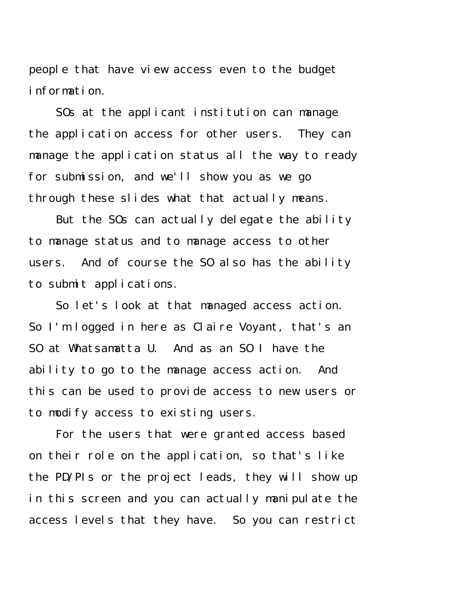people that have view access even to the budget information.

SOs at the applicant institution can manage the application access for other users. They can manage the application status all the way to ready for submission, and we'll show you as we go through these slides what that actually means.

But the SOs can actually delegate the ability to manage status and to manage access to other users. And of course the SO also has the ability to submit applications.

So let's look at that managed access action. So I'm logged in here as Claire Voyant, that's an SO at Whatsamatta U. And as an SO I have the ability to go to the manage access action. And this can be used to provide access to new users or to modify access to existing users.

For the users that were granted access based on their role on the application, so that's like the PD/PIs or the project leads, they will show up in this screen and you can actually manipulate the access levels that they have. So you can restrict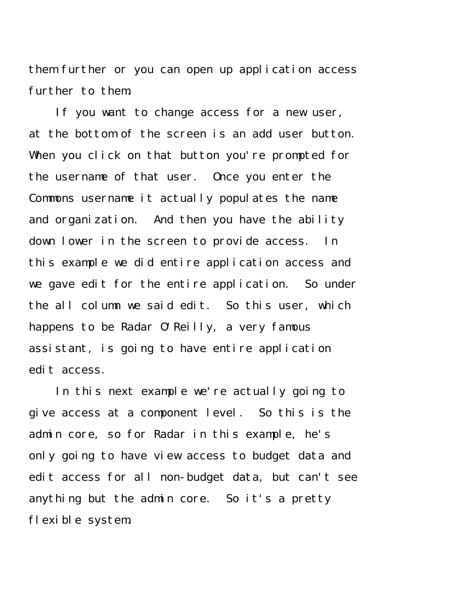them further or you can open up application access further to them.

If you want to change access for a new user, at the bottom of the screen is an add user button. When you click on that button you're prompted for the username of that user. Once you enter the Commons username it actually populates the name and organization. And then you have the ability down lower in the screen to provide access. In this example we did entire application access and we gave edit for the entire application. So under the all column we said edit. So this user, which happens to be Radar O'Reilly, a very famous assistant, is going to have entire application edit access.

In this next example we're actually going to give access at a component level. So this is the admin core, so for Radar in this example, he's only going to have view access to budget data and edit access for all non-budget data, but can't see anything but the admin core. So it's a pretty flexible system.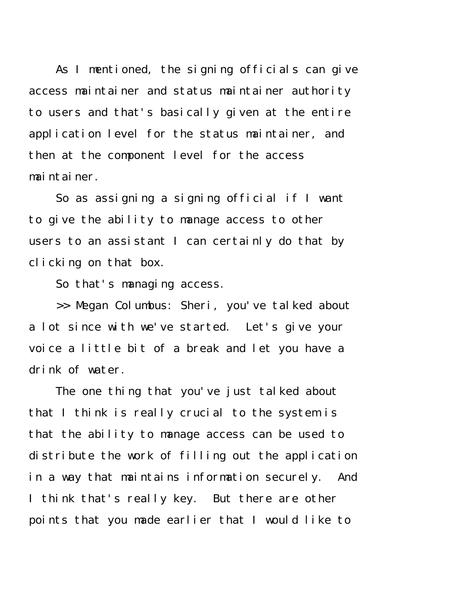As I mentioned, the signing officials can give access maintainer and status maintainer authority to users and that's basically given at the entire application level for the status maintainer, and then at the component level for the access maintainer.

So as assigning a signing official if I want to give the ability to manage access to other users to an assistant I can certainly do that by clicking on that box.

So that's managing access.

>> Megan Columbus: Sheri, you've talked about a lot since with we've started. Let's give your voice a little bit of a break and let you have a drink of water.

The one thing that you've just talked about that I think is really crucial to the system is that the ability to manage access can be used to distribute the work of filling out the application in a way that maintains information securely. And I think that's really key. But there are other points that you made earlier that I would like to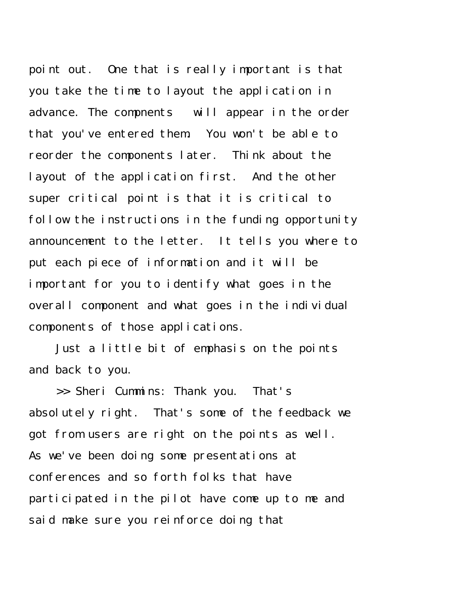point out. One that is really important is that you take the time to layout the application in advance. The compnents will appear in the order that you've entered them. You won't be able to reorder the components later. Think about the layout of the application first. And the other super critical point is that it is critical to follow the instructions in the funding opportunity announcement to the letter. It tells you where to put each piece of information and it will be important for you to identify what goes in the overall component and what goes in the individual components of those applications.

Just a little bit of emphasis on the points and back to you.

>> Sheri Cummins: Thank you. That's absolutely right. That's some of the feedback we got from users are right on the points as well. As we've been doing some presentations at conferences and so forth folks that have participated in the pilot have come up to me and said make sure you reinforce doing that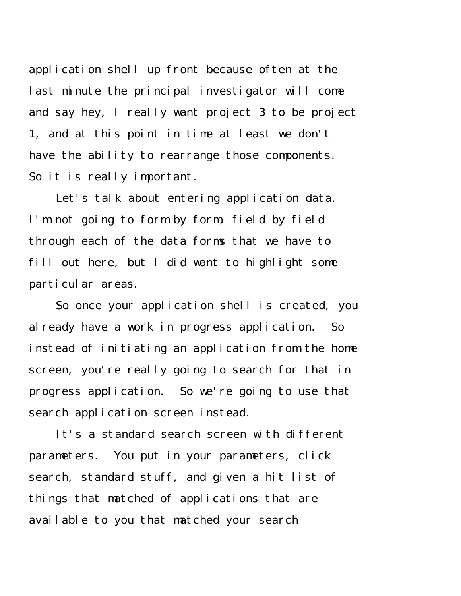application shell up front because often at the last minute the principal investigator will come and say hey, I really want project 3 to be project 1, and at this point in time at least we don't have the ability to rearrange those components. So it is really important.

Let's talk about entering application data. I'm not going to form by form, field by field through each of the data forms that we have to fill out here, but I did want to highlight some particular areas.

So once your application shell is created, you already have a work in progress application. So instead of initiating an application from the home screen, you're really going to search for that in progress application. So we're going to use that search application screen instead.

It's a standard search screen with different parameters. You put in your parameters, click search, standard stuff, and given a hit list of things that matched of applications that are available to you that matched your search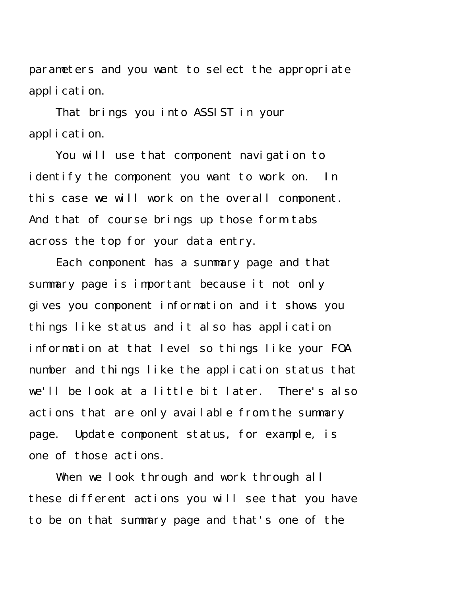parameters and you want to select the appropriate application.

That brings you into ASSIST in your application.

You will use that component navigation to identify the component you want to work on. In this case we will work on the overall component. And that of course brings up those form tabs across the top for your data entry.

Each component has a summary page and that summary page is important because it not only gives you component information and it shows you things like status and it also has application information at that level so things like your FOA number and things like the application status that we'll be look at a little bit later. There's also actions that are only available from the summary page. Update component status, for example, is one of those actions.

When we look through and work through all these different actions you will see that you have to be on that summary page and that's one of the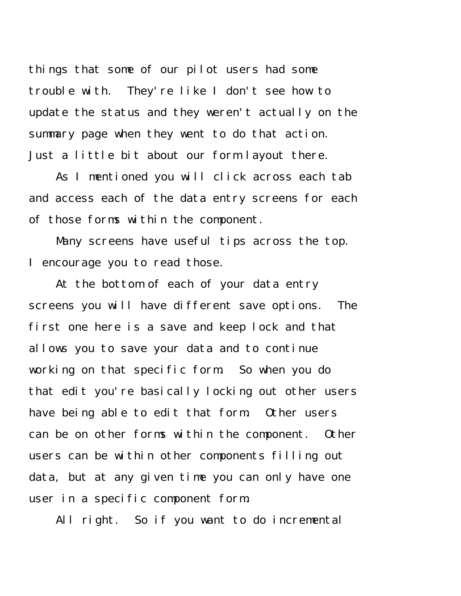things that some of our pilot users had some trouble with. They're like I don't see how to update the status and they weren't actually on the summary page when they went to do that action. Just a little bit about our form layout there.

As I mentioned you will click across each tab and access each of the data entry screens for each of those forms within the component.

Many screens have useful tips across the top. I encourage you to read those.

At the bottom of each of your data entry screens you will have different save options. The first one here is a save and keep lock and that allows you to save your data and to continue working on that specific form. So when you do that edit you're basically locking out other users have being able to edit that form. Other users can be on other forms within the component. Other users can be within other components filling out data, but at any given time you can only have one user in a specific component form.

All right. So if you want to do incremental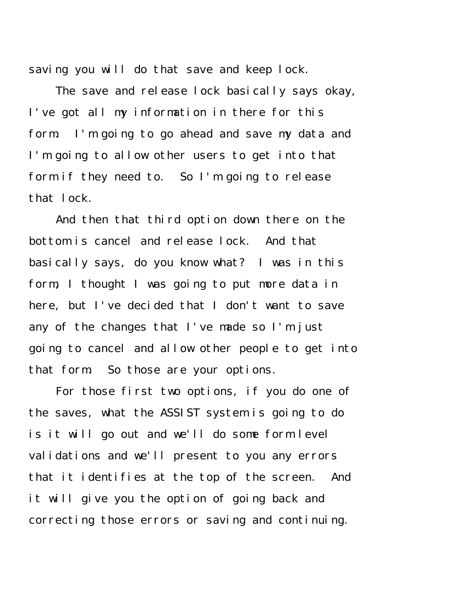saving you will do that save and keep lock.

The save and release lock basically says okay, I've got all my information in there for this form. I'm going to go ahead and save my data and I'm going to allow other users to get into that form if they need to. So I'm going to release that lock.

And then that third option down there on the bottom is cancel and release lock. And that basically says, do you know what? I was in this form, I thought I was going to put more data in here, but I've decided that I don't want to save any of the changes that I've made so I'm just going to cancel and allow other people to get into that form. So those are your options.

For those first two options, if you do one of the saves, what the ASSIST system is going to do is it will go out and we'll do some form level validations and we'll present to you any errors that it identifies at the top of the screen. And it will give you the option of going back and correcting those errors or saving and continuing.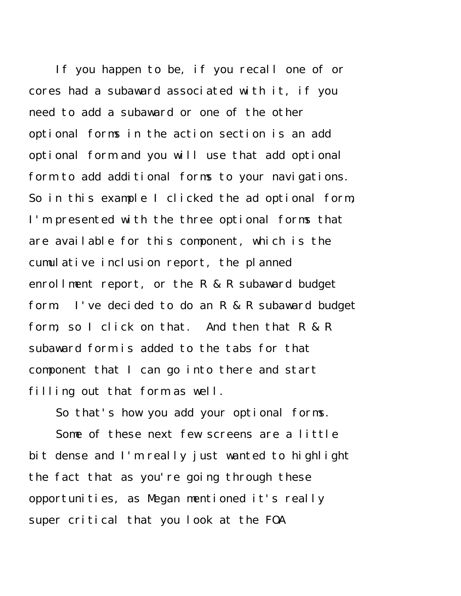If you happen to be, if you recall one of or cores had a subaward associated with it, if you need to add a subaward or one of the other optional forms in the action section is an add optional form and you will use that add optional form to add additional forms to your navigations. So in this example I clicked the ad optional form, I'm presented with the three optional forms that are available for this component, which is the cumulative inclusion report, the planned enrollment report, or the R & R subaward budget form. I've decided to do an R & R subaward budget form, so I click on that. And then that R & R subaward form is added to the tabs for that component that I can go into there and start filling out that form as well.

So that's how you add your optional forms.

Some of these next few screens are a little bit dense and I'm really just wanted to highlight the fact that as you're going through these opportunities, as Megan mentioned it's really super critical that you look at the FOA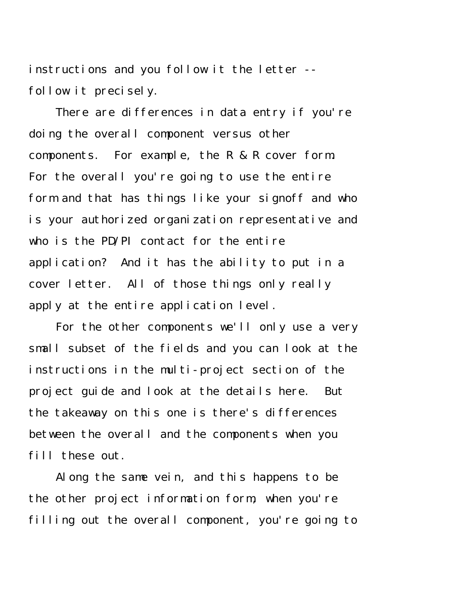instructions and you follow it the letter - follow it precisely.

There are differences in data entry if you're doing the overall component versus other components. For example, the R & R cover form. For the overall you're going to use the entire form and that has things like your signoff and who is your authorized organization representative and who is the PD/PI contact for the entire application? And it has the ability to put in a cover letter. All of those things only really apply at the entire application level.

For the other components we'll only use a very small subset of the fields and you can look at the instructions in the multi-project section of the project guide and look at the details here. But the takeaway on this one is there's differences between the overall and the components when you fill these out.

Along the same vein, and this happens to be the other project information form, when you're filling out the overall component, you're going to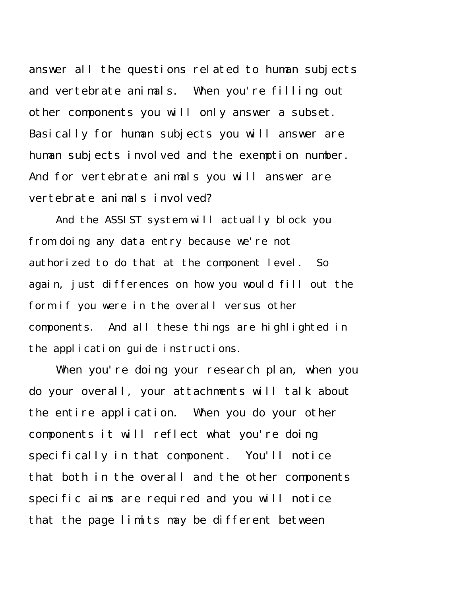answer all the questions related to human subjects and vertebrate animals. When you're filling out other components you will only answer a subset. Basically for human subjects you will answer are human subjects involved and the exemption number. And for vertebrate animals you will answer are vertebrate animals involved?

And the ASSIST system will actually block you from doing any data entry because we're not authorized to do that at the component level. So again, just differences on how you would fill out the form if you were in the overall versus other components. And all these things are highlighted in the application guide instructions.

When you're doing your research plan, when you do your overall, your attachments will talk about the entire application. When you do your other components it will reflect what you're doing specifically in that component. You'll notice that both in the overall and the other components specific aims are required and you will notice that the page limits may be different between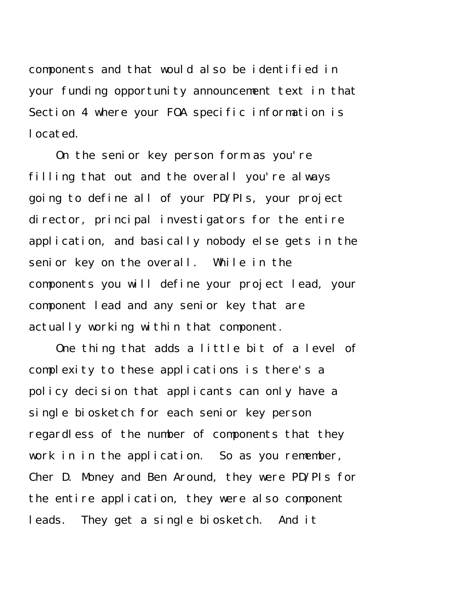components and that would also be identified in your funding opportunity announcement text in that Section 4 where your FOA specific information is located.

On the senior key person form as you're filling that out and the overall you're always going to define all of your PD/PIs, your project director, principal investigators for the entire application, and basically nobody else gets in the senior key on the overall. While in the components you will define your project lead, your component lead and any senior key that are actually working within that component.

One thing that adds a little bit of a level of complexity to these applications is there's a policy decision that applicants can only have a single biosketch for each senior key person regardless of the number of components that they work in in the application. So as you remember, Cher D. Money and Ben Around, they were PD/PIs for the entire application, they were also component leads. They get a single biosketch. And it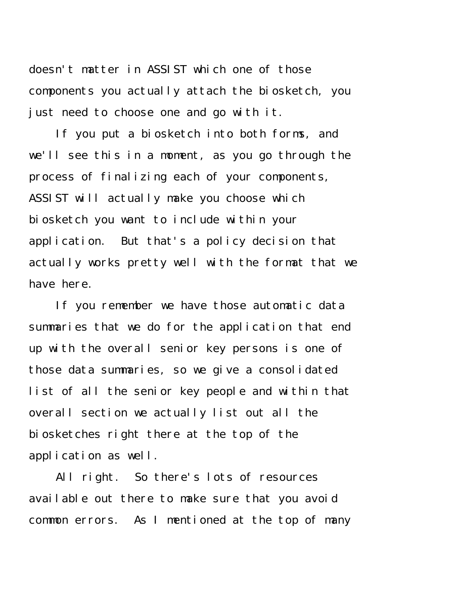doesn't matter in ASSIST which one of those components you actually attach the biosketch, you just need to choose one and go with it.

If you put a biosketch into both forms, and we'll see this in a moment, as you go through the process of finalizing each of your components, ASSIST will actually make you choose which biosketch you want to include within your application. But that's a policy decision that actually works pretty well with the format that we have here.

If you remember we have those automatic data summaries that we do for the application that end up with the overall senior key persons is one of those data summaries, so we give a consolidated list of all the senior key people and within that overall section we actually list out all the biosketches right there at the top of the application as well.

All right. So there's lots of resources available out there to make sure that you avoid common errors. As I mentioned at the top of many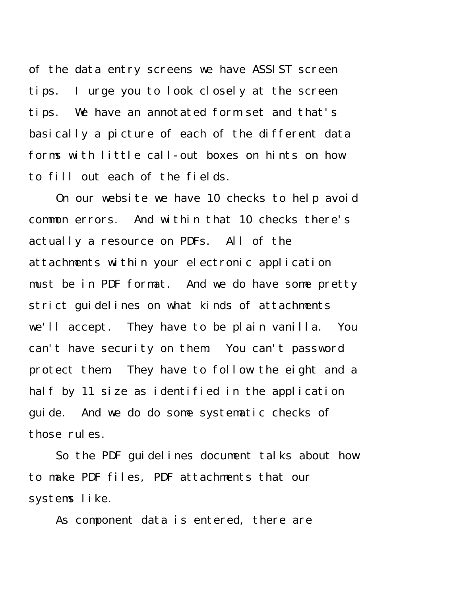of the data entry screens we have ASSIST screen tips. I urge you to look closely at the screen tips. We have an annotated form set and that's basically a picture of each of the different data forms with little call-out boxes on hints on how to fill out each of the fields.

On our website we have 10 checks to help avoid common errors. And within that 10 checks there's actually a resource on PDFs. All of the attachments within your electronic application must be in PDF format. And we do have some pretty strict guidelines on what kinds of attachments we'll accept. They have to be plain vanilla. You can't have security on them. You can't password protect them. They have to follow the eight and a half by 11 size as identified in the application guide. And we do do some systematic checks of those rules.

So the PDF guidelines document talks about how to make PDF files, PDF attachments that our systems like.

As component data is entered, there are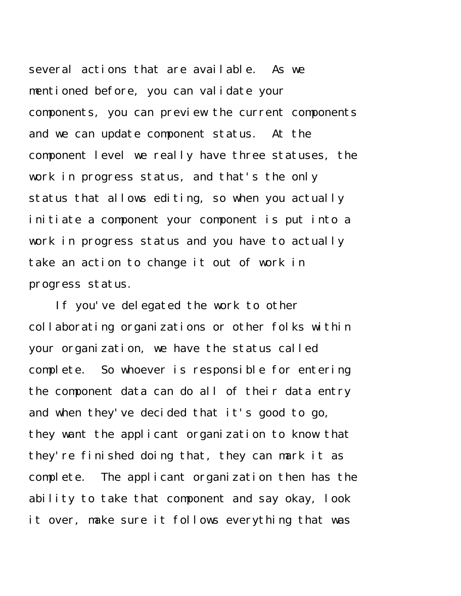several actions that are available. As we mentioned before, you can validate your components, you can preview the current components and we can update component status. At the component level we really have three statuses, the work in progress status, and that's the only status that allows editing, so when you actually initiate a component your component is put into a work in progress status and you have to actually take an action to change it out of work in progress status.

If you've delegated the work to other collaborating organizations or other folks within your organization, we have the status called complete. So whoever is responsible for entering the component data can do all of their data entry and when they've decided that it's good to go, they want the applicant organization to know that they're finished doing that, they can mark it as complete. The applicant organization then has the ability to take that component and say okay, look it over, make sure it follows everything that was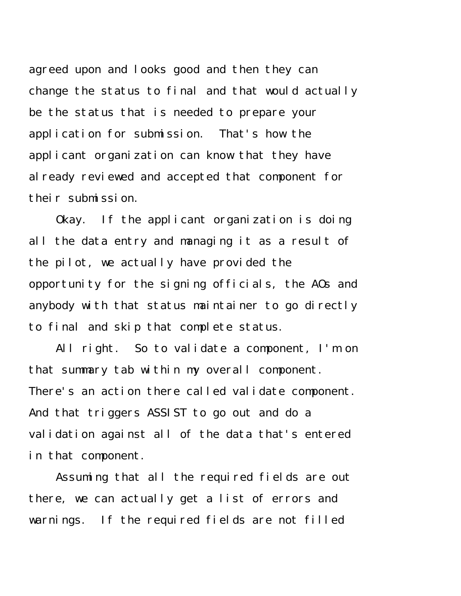agreed upon and looks good and then they can change the status to final and that would actually be the status that is needed to prepare your application for submission. That's how the applicant organization can know that they have al ready reviewed and accepted that component for their submission.

Okay. If the applicant organization is doing all the data entry and managing it as a result of the pilot, we actually have provided the opportunity for the signing officials, the AOs and anybody with that status maintainer to go directly to final and skip that complete status.

All right. So to validate a component, I'm on that summary tab within my overall component. There's an action there called validate component. And that triggers ASSIST to go out and do a validation against all of the data that's entered in that component.

Assuming that all the required fields are out there, we can actually get a list of errors and warnings. If the required fields are not filled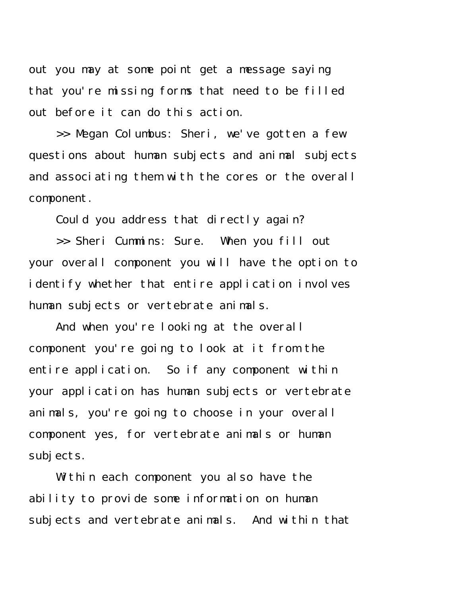out you may at some point get a message saying that you're missing forms that need to be filled out before it can do this action.

>> Megan Columbus: Sheri, we've gotten a few questions about human subjects and animal subjects and associating them with the cores or the overall component.

Could you address that directly again?

>> Sheri Cummins: Sure. When you fill out your overall component you will have the option to identify whether that entire application involves human subjects or vertebrate animals.

And when you're looking at the overall component you're going to look at it from the entire application. So if any component within your application has human subjects or vertebrate animals, you're going to choose in your overall component yes, for vertebrate animals or human subjects.

Whithin each component you also have the ability to provide some information on human subjects and vertebrate animals. And within that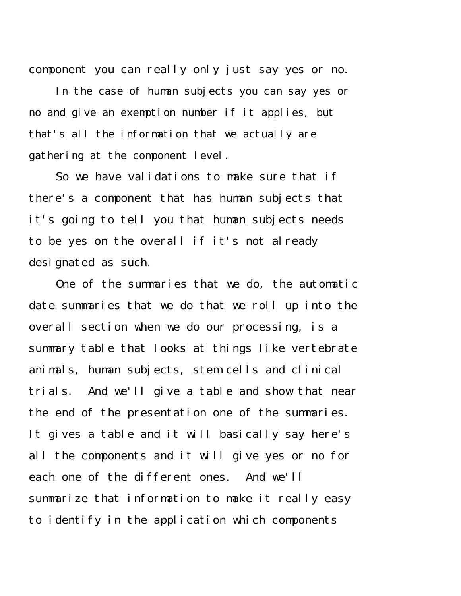component you can really only just say yes or no.

In the case of human subjects you can say yes or no and give an exemption number if it applies, but that's all the information that we actually are gathering at the component level.

So we have validations to make sure that if there's a component that has human subjects that it's going to tell you that human subjects needs to be yes on the overall if it's not already designated as such.

One of the summaries that we do, the automatic date summaries that we do that we roll up into the overall section when we do our processing, is a summary table that looks at things like vertebrate animals, human subjects, stem cells and clinical trials. And we'll give a table and show that near the end of the presentation one of the summaries. It gives a table and it will basically say here's all the components and it will give yes or no for each one of the different ones. And we'll summarize that information to make it really easy to identify in the application which components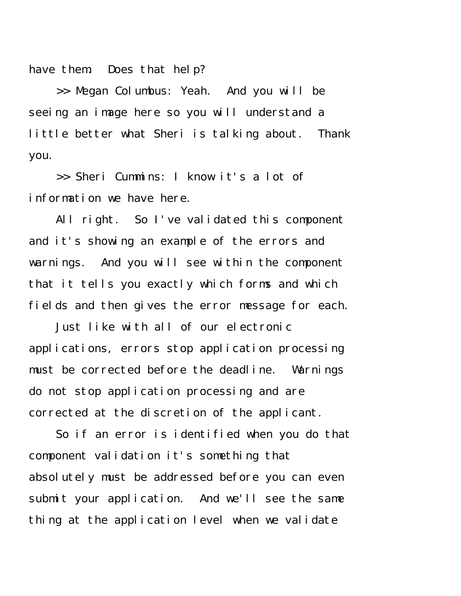have them. Does that help?

>> Megan Columbus: Yeah. And you will be seeing an image here so you will understand a little better what Sheri is talking about. Thank you.

>> Sheri Cummins: I know it's a lot of information we have here.

All right. So I've validated this component and it's showing an example of the errors and warnings. And you will see within the component that it tells you exactly which forms and which fields and then gives the error message for each.

Just like with all of our electronic applications, errors stop application processing must be corrected before the deadline. Warnings do not stop application processing and are corrected at the discretion of the applicant.

So if an error is identified when you do that component validation it's something that absolutely must be addressed before you can even submit your application. And we'll see the same thing at the application level when we validate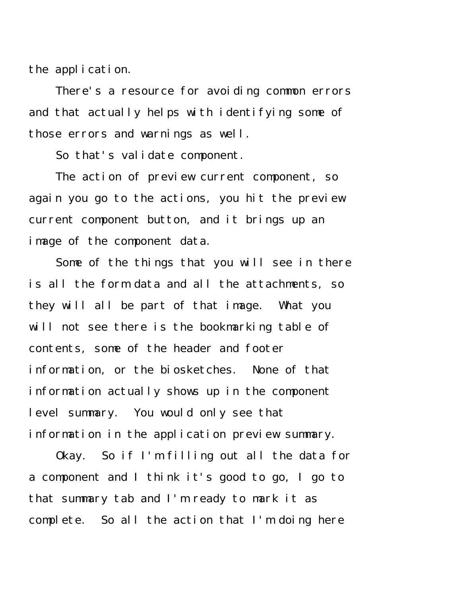the application.

There's a resource for avoiding common errors and that actually helps with identifying some of those errors and warnings as well.

So that's validate component.

The action of preview current component, so again you go to the actions, you hit the preview current component button, and it brings up an image of the component data.

Some of the things that you will see in there is all the form data and all the attachments, so they will all be part of that image. What you will not see there is the bookmarking table of contents, some of the header and footer information, or the biosketches. None of that information actually shows up in the component level summary. You would only see that information in the application preview summary.

Okay. So if I'm filling out all the data for a component and I think it's good to go, I go to that summary tab and I'm ready to mark it as complete. So all the action that I'm doing here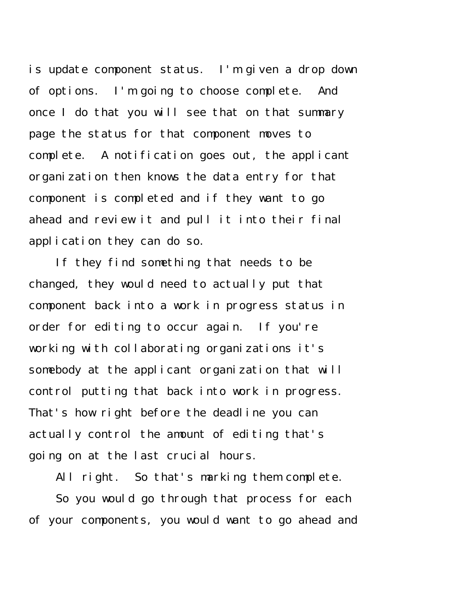is update component status. I'm given a drop down of options. I'm going to choose complete. And once I do that you will see that on that summary page the status for that component moves to complete. A notification goes out, the applicant organization then knows the data entry for that component is completed and if they want to go ahead and review it and pull it into their final application they can do so.

If they find something that needs to be changed, they would need to actually put that component back into a work in progress status in order for editing to occur again. If you're working with collaborating organizations it's somebody at the applicant organization that will control putting that back into work in progress. That's how right before the deadline you can actually control the amount of editing that's going on at the last crucial hours.

All right. So that's marking them complete.

So you would go through that process for each of your components, you would want to go ahead and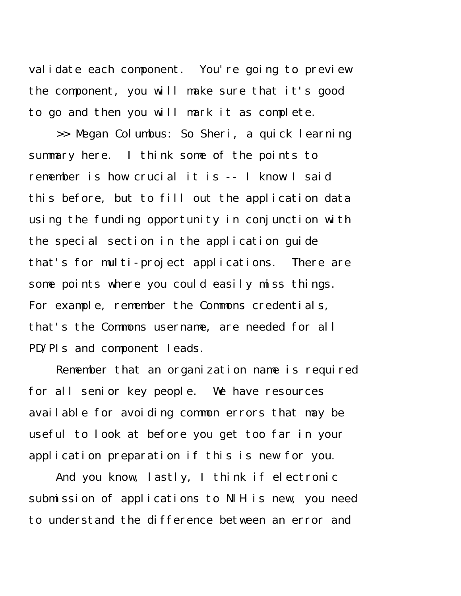validate each component. You're going to preview the component, you will make sure that it's good to go and then you will mark it as complete.

>> Megan Columbus: So Sheri, a quick learning summary here. I think some of the points to remember is how crucial it is -- I know I said this before, but to fill out the application data using the funding opportunity in conjunction with the special section in the application guide that's for multi-project applications. There are some points where you could easily miss things. For example, remember the Commons credentials, that's the Commons username, are needed for all PD/PIs and component leads.

Remember that an organization name is required for all senior key people. We have resources available for avoiding common errors that may be useful to look at before you get too far in your application preparation if this is new for you.

And you know, lastly, I think if electronic submission of applications to NIH is new, you need to understand the difference between an error and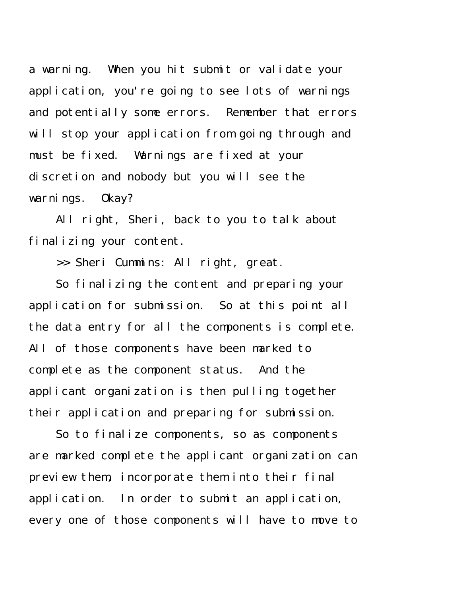a warning. When you hit submit or validate your application, you're going to see lots of warnings and potentially some errors. Remember that errors will stop your application from going through and must be fixed. Warnings are fixed at your discretion and nobody but you will see the warnings. Okay?

All right, Sheri, back to you to talk about finalizing your content.

>> Sheri Cummins: All right, great.

So finalizing the content and preparing your application for submission. So at this point all the data entry for all the components is complete. All of those components have been marked to complete as the component status. And the applicant organization is then pulling together their application and preparing for submission.

So to finalize components, so as components are marked complete the applicant organization can preview them, incorporate them into their final application. In order to submit an application, every one of those components will have to move to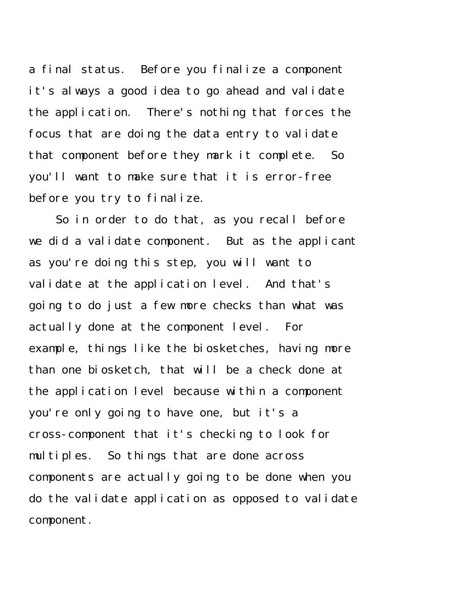a final status. Before you finalize a component it's always a good idea to go ahead and validate the application. There's nothing that forces the focus that are doing the data entry to validate that component before they mark it complete. So you'll want to make sure that it is error-free before you try to finalize.

So in order to do that, as you recall before we did a validate component. But as the applicant as you're doing this step, you will want to validate at the application level. And that's going to do just a few more checks than what was actually done at the component level. For example, things like the biosketches, having more than one biosketch, that will be a check done at the application level because within a component you're only going to have one, but it's a cross-component that it's checking to look for multiples. So things that are done across components are actually going to be done when you do the validate application as opposed to validate component.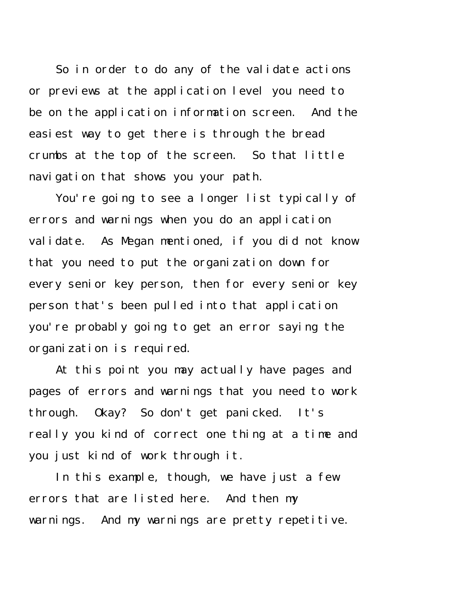So in order to do any of the validate actions or previews at the application level you need to be on the application information screen. And the easiest way to get there is through the bread crumbs at the top of the screen. So that little navigation that shows you your path.

You're going to see a longer list typically of errors and warnings when you do an application validate. As Megan mentioned, if you did not know that you need to put the organization down for every senior key person, then for every senior key person that's been pulled into that application you're probably going to get an error saying the organization is required.

At this point you may actually have pages and pages of errors and warnings that you need to work through. Okay? So don't get panicked. It's really you kind of correct one thing at a time and you just kind of work through it.

In this example, though, we have just a few errors that are listed here. And then my warnings. And my warnings are pretty repetitive.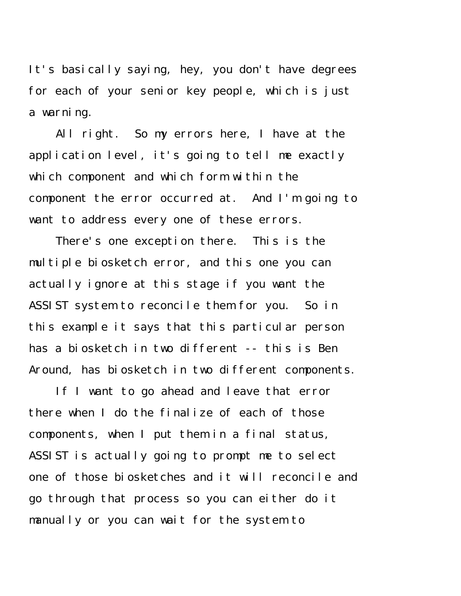It's basically saying, hey, you don't have degrees for each of your senior key people, which is just a warning.

All right. So my errors here, I have at the application level, it's going to tell me exactly which component and which form within the component the error occurred at. And I'm going to want to address every one of these errors.

There's one exception there. This is the multiple biosketch error, and this one you can actually ignore at this stage if you want the ASSIST system to reconcile them for you. So in this example it says that this particular person has a biosketch in two different -- this is Ben Around, has biosketch in two different components.

If I want to go ahead and leave that error there when I do the finalize of each of those components, when I put them in a final status, ASSIST is actually going to prompt me to select one of those biosketches and it will reconcile and go through that process so you can either do it manually or you can wait for the system to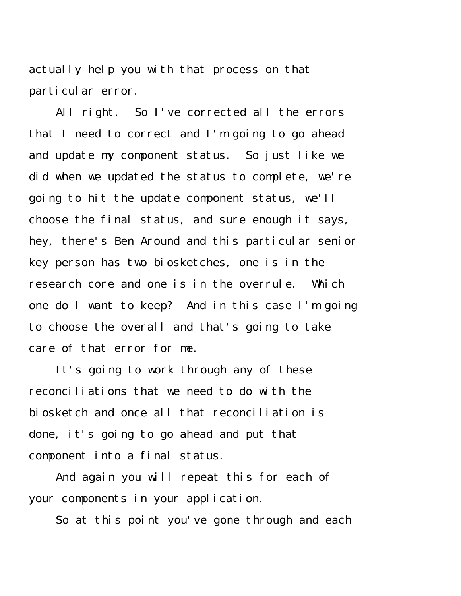actually help you with that process on that particular error.

All right. So I've corrected all the errors that I need to correct and I'm going to go ahead and update my component status. So just like we did when we updated the status to complete, we're going to hit the update component status, we'll choose the final status, and sure enough it says, hey, there's Ben Around and this particular senior key person has two biosketches, one is in the research core and one is in the overrule. Which one do I want to keep? And in this case I'm going to choose the overall and that's going to take care of that error for me.

It's going to work through any of these reconciliations that we need to do with the biosketch and once all that reconciliation is done, it's going to go ahead and put that component into a final status.

And again you will repeat this for each of your components in your application.

So at this point you've gone through and each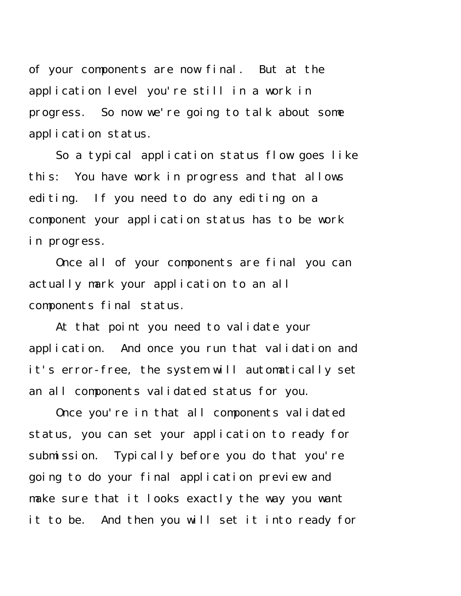of your components are now final. But at the application level you're still in a work in progress. So now we're going to talk about some application status.

So a typical application status flow goes like this: You have work in progress and that allows editing. If you need to do any editing on a component your application status has to be work in progress.

Once all of your components are final you can actually mark your application to an all components final status.

At that point you need to validate your application. And once you run that validation and it's error-free, the system will automatically set an all components validated status for you.

Once you're in that all components validated status, you can set your application to ready for submission. Typically before you do that you're going to do your final application preview and make sure that it looks exactly the way you want it to be. And then you will set it into ready for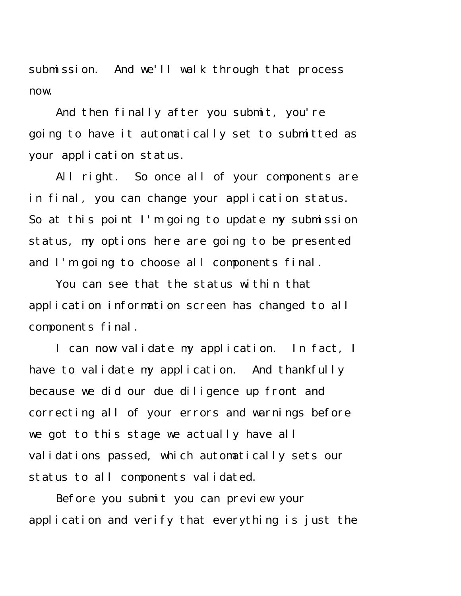submission. And we'll walk through that process now.

And then finally after you submit, you're going to have it automatically set to submitted as your application status.

All right. So once all of your components are in final, you can change your application status. So at this point I'm going to update my submission status, my options here are going to be presented and I'm going to choose all components final.

You can see that the status within that application information screen has changed to all components final.

I can now validate my application. In fact, I have to validate my application. And thankfully because we did our due diligence up front and correcting all of your errors and warnings before we got to this stage we actually have all validations passed, which automatically sets our status to all components validated.

Before you submit you can preview your application and verify that everything is just the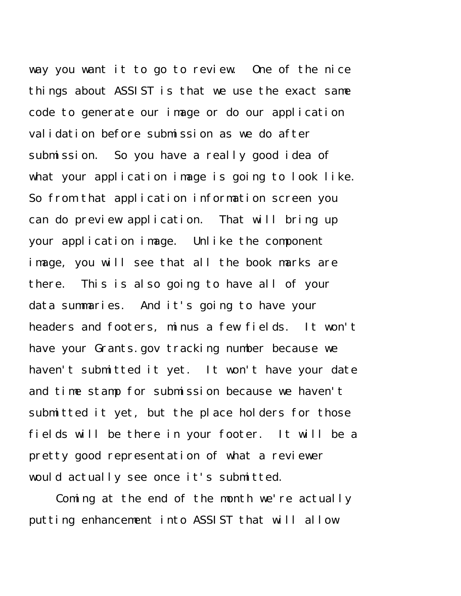way you want it to go to review. One of the nice things about ASSIST is that we use the exact same code to generate our image or do our application validation before submission as we do after submission. So you have a really good idea of what your application image is going to look like. So from that application information screen you can do preview application. That will bring up your application image. Unlike the component image, you will see that all the book marks are there. This is also going to have all of your data summaries. And it's going to have your headers and footers, minus a few fields. It won't have your Grants.gov tracking number because we haven't submitted it yet. It won't have your date and time stamp for submission because we haven't submitted it yet, but the place holders for those fields will be there in your footer. It will be a pretty good representation of what a reviewer would actually see once it's submitted.

Coming at the end of the month we're actually putting enhancement into ASSIST that will allow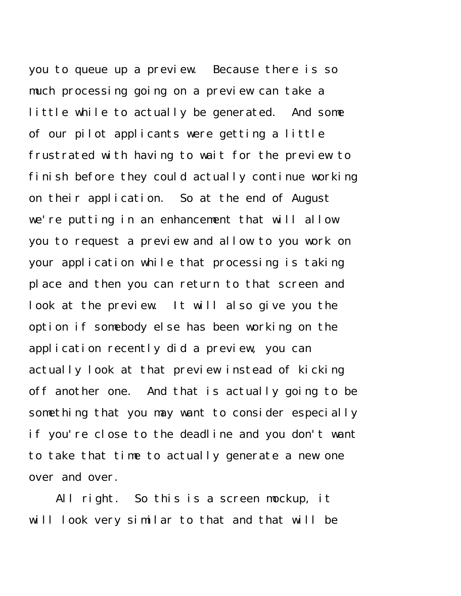you to queue up a preview. Because there is so much processing going on a preview can take a little while to actually be generated. And some of our pilot applicants were getting a little frustrated with having to wait for the preview to finish before they could actually continue working on their application. So at the end of August we're putting in an enhancement that will allow you to request a preview and allow to you work on your application while that processing is taking place and then you can return to that screen and look at the preview. It will also give you the option if somebody else has been working on the application recently did a preview, you can actually look at that preview instead of kicking off another one. And that is actually going to be something that you may want to consider especially if you're close to the deadline and you don't want to take that time to actually generate a new one over and over.

All right. So this is a screen mockup, it will look very similar to that and that will be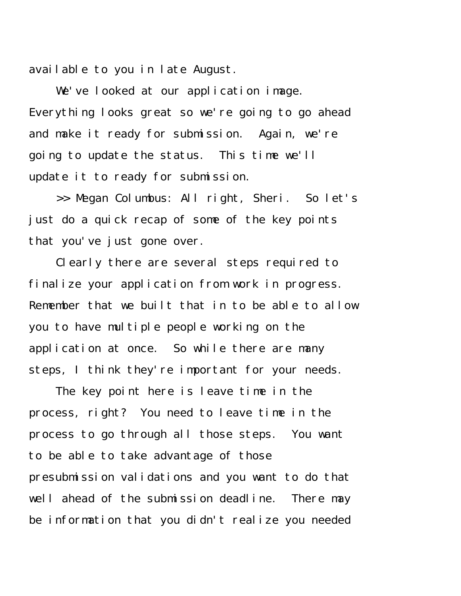available to you in late August.

We've looked at our application image. Everything looks great so we're going to go ahead and make it ready for submission. Again, we're going to update the status. This time we'll update it to ready for submission.

>> Megan Columbus: All right, Sheri. So let's just do a quick recap of some of the key points that you've just gone over.

Clearly there are several steps required to finalize your application from work in progress. Remember that we built that in to be able to allow you to have multiple people working on the application at once. So while there are many steps, I think they're important for your needs.

The key point here is leave time in the process, right? You need to leave time in the process to go through all those steps. You want to be able to take advantage of those presubmission validations and you want to do that well ahead of the submission deadline. There may be information that you didn't realize you needed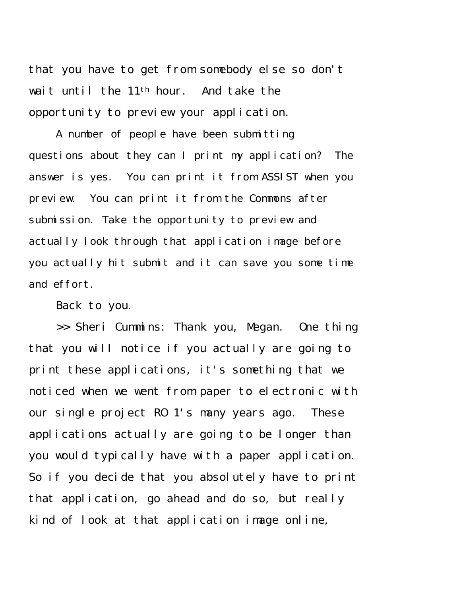that you have to get from somebody else so don't wait until the 11th hour. And take the opportunity to preview your application.

A number of people have been submitting questions about they can I print my application? The answer is yes. You can print it from ASSIST when you preview. You can print it from the Commons after submission. Take the opportunity to preview and actually look through that application image before you actually hit submit and it can save you some time and effort.

Back to you.

>> Sheri Cummins: Thank you, Megan. One thing that you will notice if you actually are going to print these applications, it's something that we noticed when we went from paper to electronic with our single project RO 1's many years ago. These applications actually are going to be longer than you would typically have with a paper application. So if you decide that you absolutely have to print that application, go ahead and do so, but really kind of look at that application image online,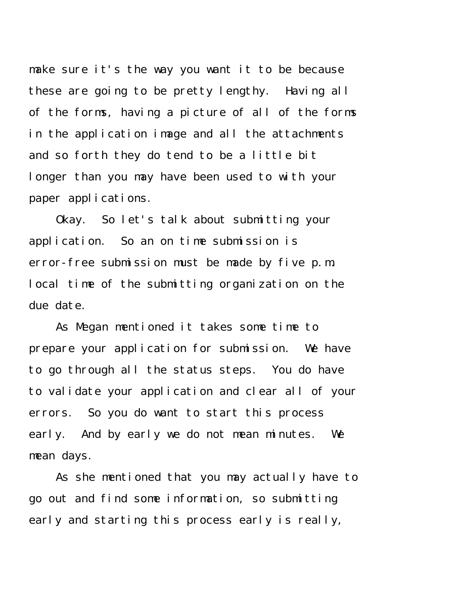make sure it's the way you want it to be because these are going to be pretty lengthy. Having all of the forms, having a picture of all of the forms in the application image and all the attachments and so forth they do tend to be a little bit longer than you may have been used to with your paper applications.

Okay. So let's talk about submitting your application. So an on time submission is error-free submission must be made by five p.m. local time of the submitting organization on the due date.

As Megan mentioned it takes some time to prepare your application for submission. We have to go through all the status steps. You do have to validate your application and clear all of your errors. So you do want to start this process early. And by early we do not mean minutes. We mean days.

As she mentioned that you may actually have to go out and find some information, so submitting early and starting this process early is really,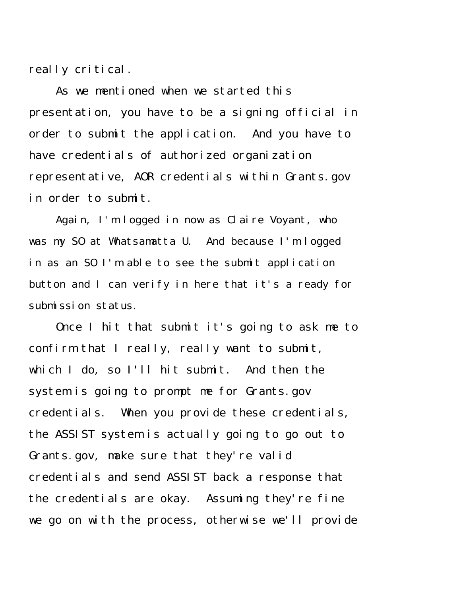really critical.

As we mentioned when we started this presentation, you have to be a signing official in order to submit the application. And you have to have credentials of authorized organization representative, AOR credentials within Grants.gov in order to submit.

Again, I'm logged in now as Claire Voyant, who was my SO at Whatsamatta U. And because I'm logged in as an SO I'm able to see the submit application button and I can verify in here that it's a ready for submission status.

Once I hit that submit it's going to ask me to confirm that I really, really want to submit, which I do, so I'll hit submit. And then the system is going to prompt me for Grants.gov credentials. When you provide these credentials, the ASSIST system is actually going to go out to Grants.gov, make sure that they're valid credentials and send ASSIST back a response that the credentials are okay. Assuming they're fine we go on with the process, otherwise we'll provide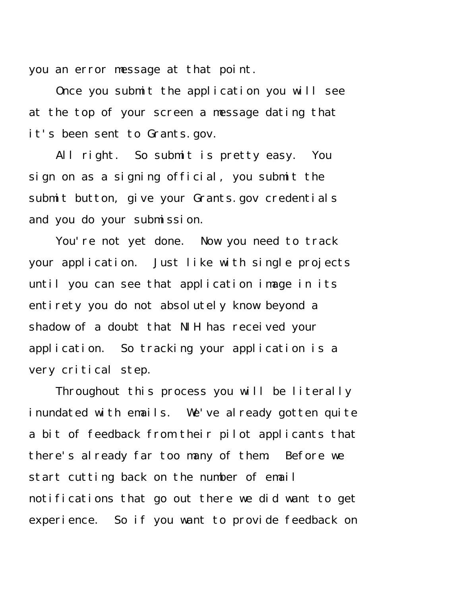you an error message at that point.

Once you submit the application you will see at the top of your screen a message dating that it's been sent to Grants.gov.

All right. So submit is pretty easy. You sign on as a signing official, you submit the submit button, give your Grants.gov credentials and you do your submission.

You're not yet done. Now you need to track your application. Just like with single projects until you can see that application image in its entirety you do not absolutely know beyond a shadow of a doubt that NIH has received your application. So tracking your application is a very critical step.

Throughout this process you will be literally inundated with emails. We've already gotten quite a bit of feedback from their pilot applicants that there's already far too many of them. Before we start cutting back on the number of email notifications that go out there we did want to get experience. So if you want to provide feedback on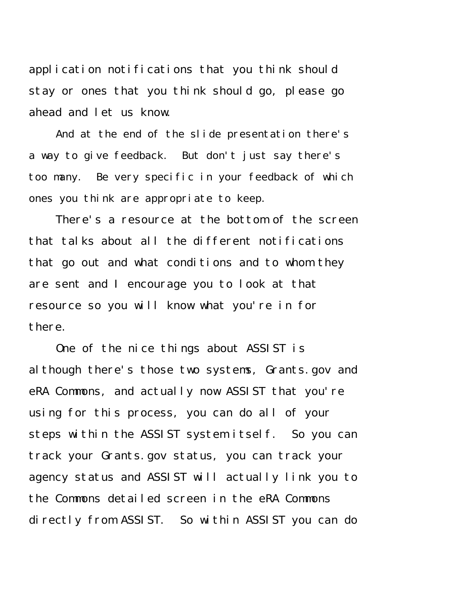application notifications that you think should stay or ones that you think should go, please go ahead and let us know.

And at the end of the slide presentation there's a way to give feedback. But don't just say there's too many. Be very specific in your feedback of which ones you think are appropriate to keep.

There's a resource at the bottom of the screen that talks about all the different notifications that go out and what conditions and to whom they are sent and I encourage you to look at that resource so you will know what you're in for there.

One of the nice things about ASSIST is although there's those two systems, Grants.gov and eRA Commons, and actually now ASSIST that you're using for this process, you can do all of your steps within the ASSIST system itself. So you can track your Grants.gov status, you can track your agency status and ASSIST will actually link you to the Commons detailed screen in the eRA Commons directly from ASSIST. So within ASSIST you can do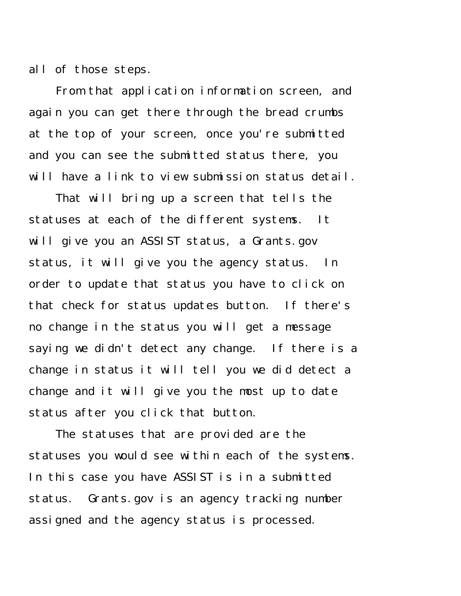all of those steps.

From that application information screen, and again you can get there through the bread crumbs at the top of your screen, once you're submitted and you can see the submitted status there, you will have a link to view submission status detail.

That will bring up a screen that tells the statuses at each of the different systems. It will give you an ASSIST status, a Grants.gov status, it will give you the agency status. In order to update that status you have to click on that check for status updates button. If there's no change in the status you will get a message saying we didn't detect any change. If there is a change in status it will tell you we did detect a change and it will give you the most up to date status after you click that button.

The statuses that are provided are the statuses you would see within each of the systems. In this case you have ASSIST is in a submitted status. Grants.gov is an agency tracking number assigned and the agency status is processed.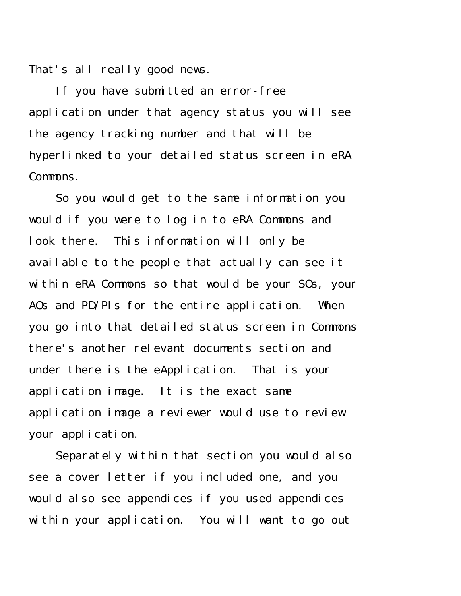That's all really good news.

If you have submitted an error-free application under that agency status you will see the agency tracking number and that will be hyperlinked to your detailed status screen in eRA Commons.

So you would get to the same information you would if you were to log in to eRA Commons and look there. This information will only be available to the people that actually can see it within eRA Commons so that would be your SOs, your AOs and PD/PIs for the entire application. When you go into that detailed status screen in Commons there's another relevant documents section and under there is the eApplication. That is your application image. It is the exact same application image a reviewer would use to review your application.

Separately within that section you would also see a cover letter if you included one, and you would also see appendices if you used appendices within your application. You will want to go out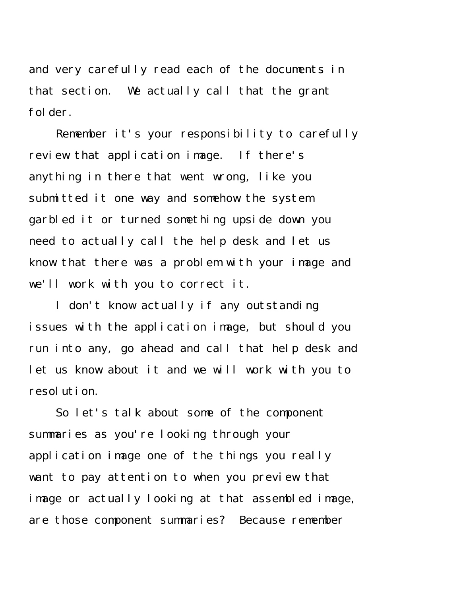and very carefully read each of the documents in that section. We actually call that the grant folder.

Remember it's your responsibility to carefully review that application image. If there's anything in there that went wrong, like you submitted it one way and somehow the system garbled it or turned something upside down you need to actually call the help desk and let us know that there was a problem with your image and we'll work with you to correct it.

I don't know actually if any outstanding issues with the application image, but should you run into any, go ahead and call that help desk and let us know about it and we will work with you to resolution.

So let's talk about some of the component summaries as you're looking through your application image one of the things you really want to pay attention to when you preview that image or actually looking at that assembled image, are those component summaries? Because remember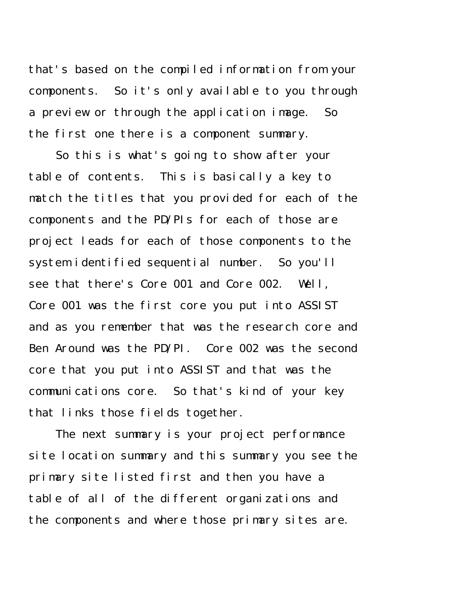that's based on the compiled information from your components. So it's only available to you through a preview or through the application image. So the first one there is a component summary.

So this is what's going to show after your table of contents. This is basically a key to match the titles that you provided for each of the components and the PD/PIs for each of those are project leads for each of those components to the system identified sequential number. So you'll see that there's Core 001 and Core 002. Well, Core 001 was the first core you put into ASSIST and as you remember that was the research core and Ben Around was the PD/PI. Core 002 was the second core that you put into ASSIST and that was the communications core. So that's kind of your key that links those fields together.

The next summary is your project performance site location summary and this summary you see the primary site listed first and then you have a table of all of the different organizations and the components and where those primary sites are.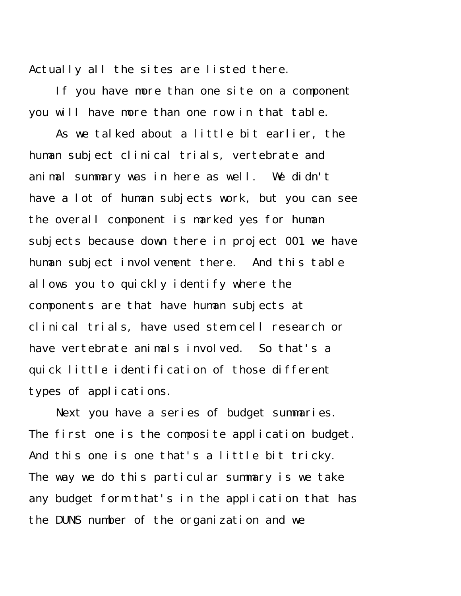Actually all the sites are listed there.

If you have more than one site on a component you will have more than one row in that table.

As we talked about a little bit earlier, the human subject clinical trials, vertebrate and animal summary was in here as well. We didn't have a lot of human subjects work, but you can see the overall component is marked yes for human subjects because down there in project 001 we have human subject involvement there. And this table allows you to quickly identify where the components are that have human subjects at clinical trials, have used stem cell research or have vertebrate animals involved. So that's a quick little identification of those different types of applications.

Next you have a series of budget summaries. The first one is the composite application budget. And this one is one that's a little bit tricky. The way we do this particular summary is we take any budget form that's in the application that has the DUNS number of the organization and we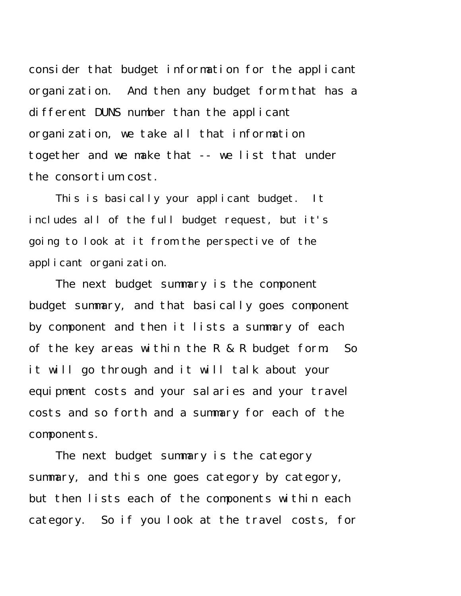consider that budget information for the applicant organization. And then any budget form that has a different DUNS number than the applicant organization, we take all that information together and we make that -- we list that under the consortium cost.

This is basically your applicant budget. It includes all of the full budget request, but it's going to look at it from the perspective of the applicant organization.

The next budget summary is the component budget summary, and that basically goes component by component and then it lists a summary of each of the key areas within the R & R budget form. So it will go through and it will talk about your equipment costs and your salaries and your travel costs and so forth and a summary for each of the components.

The next budget summary is the category summary, and this one goes category by category, but then lists each of the components within each category. So if you look at the travel costs, for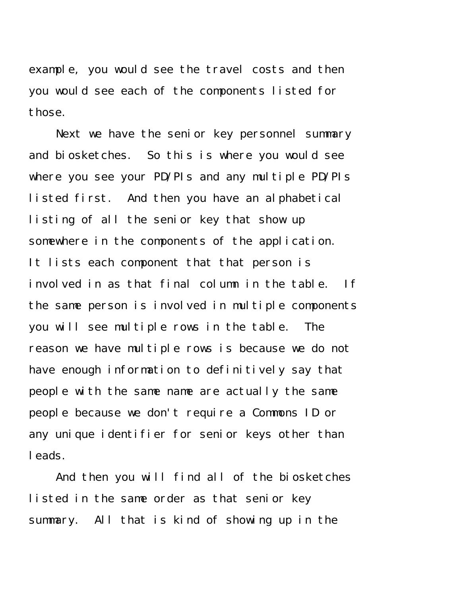example, you would see the travel costs and then you would see each of the components listed for those.

Next we have the senior key personnel summary and biosketches. So this is where you would see where you see your PD/PIs and any multiple PD/PIs listed first. And then you have an alphabetical listing of all the senior key that show up somewhere in the components of the application. It lists each component that that person is involved in as that final column in the table. If the same person is involved in multiple components you will see multiple rows in the table. The reason we have multiple rows is because we do not have enough information to definitively say that people with the same name are actually the same people because we don't require a Commons ID or any unique identifier for senior keys other than leads.

And then you will find all of the biosketches listed in the same order as that senior key summary. All that is kind of showing up in the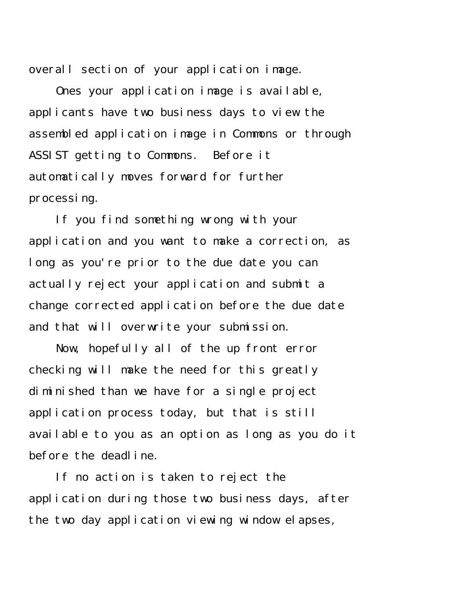overall section of your application image.

Ones your application image is available, applicants have two business days to view the assembled application image in Commons or through ASSIST getting to Commons. Before it automatically moves forward for further processing.

If you find something wrong with your application and you want to make a correction, as long as you're prior to the due date you can actually reject your application and submit a change corrected application before the due date and that will overwrite your submission.

Now, hopefully all of the up front error checking will make the need for this greatly diminished than we have for a single project application process today, but that is still available to you as an option as long as you do it before the deadline.

If no action is taken to reject the application during those two business days, after the two day application viewing window elapses,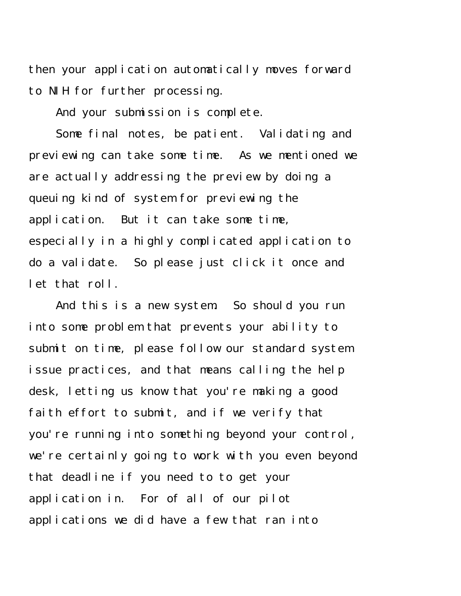then your application automatically moves forward to NIH for further processing.

And your submission is complete.

Some final notes, be patient. Validating and previewing can take some time. As we mentioned we are actually addressing the preview by doing a queuing kind of system for previewing the application. But it can take some time, especially in a highly complicated application to do a validate. So please just click it once and let that roll.

And this is a new system. So should you run into some problem that prevents your ability to submit on time, please follow our standard system issue practices, and that means calling the help desk, letting us know that you're making a good faith effort to submit, and if we verify that you're running into something beyond your control, we're certainly going to work with you even beyond that deadline if you need to to get your application in. For of all of our pilot applications we did have a few that ran into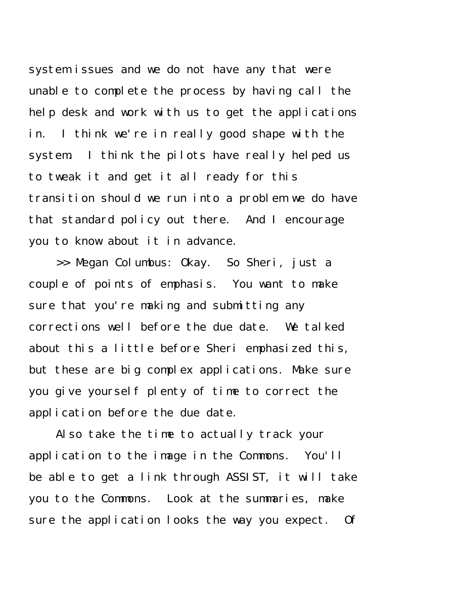system issues and we do not have any that were unable to complete the process by having call the help desk and work with us to get the applications in. I think we're in really good shape with the system. I think the pilots have really helped us to tweak it and get it all ready for this transition should we run into a problem we do have that standard policy out there. And I encourage you to know about it in advance.

>> Megan Columbus: Okay. So Sheri, just a couple of points of emphasis. You want to make sure that you're making and submitting any corrections well before the due date. We talked about this a little before Sheri emphasized this, but these are big complex applications. Make sure you give yourself plenty of time to correct the application before the due date.

Also take the time to actually track your application to the image in the Commons. You'll be able to get a link through ASSIST, it will take you to the Commons. Look at the summaries, make sure the application looks the way you expect. Of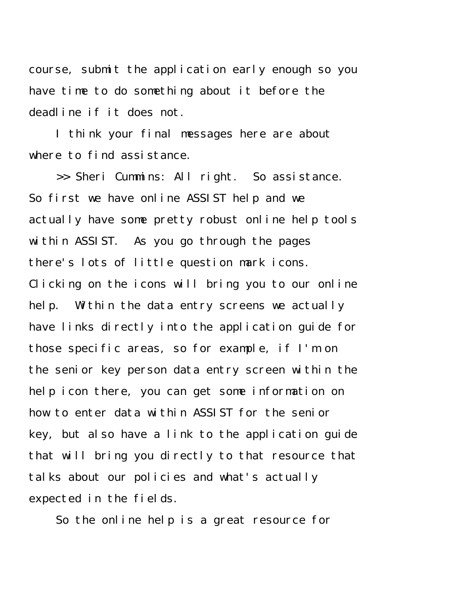course, submit the application early enough so you have time to do something about it before the deadline if it does not.

I think your final messages here are about where to find assistance.

>> Sheri Cummins: All right. So assistance. So first we have online ASSIST help and we actually have some pretty robust online help tools within ASSIST. As you go through the pages there's lots of little question mark icons. Clicking on the icons will bring you to our online help. Within the data entry screens we actually have links directly into the application guide for those specific areas, so for example, if I'm on the senior key person data entry screen within the help icon there, you can get some information on how to enter data within ASSIST for the senior key, but also have a link to the application guide that will bring you directly to that resource that talks about our policies and what's actually expected in the fields.

So the online help is a great resource for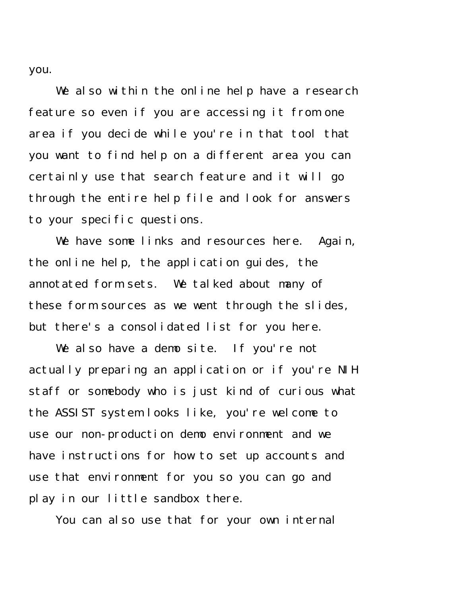you.

We also within the online help have a research feature so even if you are accessing it from one area if you decide while you're in that tool that you want to find help on a different area you can certainly use that search feature and it will go through the entire help file and look for answers to your specific questions.

We have some links and resources here. Again, the online help, the application guides, the annotated form sets. We talked about many of these form sources as we went through the slides, but there's a consolidated list for you here.

We also have a demo site. If you're not actually preparing an application or if you're NIH staff or somebody who is just kind of curious what the ASSIST system looks like, you're welcome to use our non-production demo environment and we have instructions for how to set up accounts and use that environment for you so you can go and play in our little sandbox there.

You can also use that for your own internal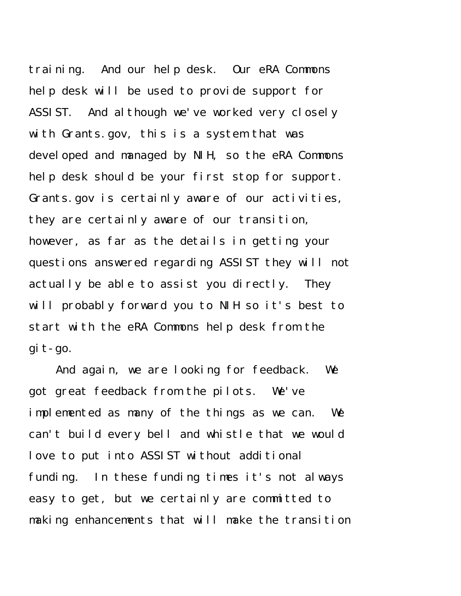training. And our help desk. Our eRA Commons help desk will be used to provide support for ASSIST. And although we've worked very closely with Grants.gov, this is a system that was developed and managed by NIH, so the eRA Commons help desk should be your first stop for support. Grants.gov is certainly aware of our activities, they are certainly aware of our transition, however, as far as the details in getting your questions answered regarding ASSIST they will not actually be able to assist you directly. They will probably forward you to NIH so it's best to start with the eRA Commons help desk from the git-go.

And again, we are looking for feedback. We got great feedback from the pilots. We've implemented as many of the things as we can. We can't build every bell and whistle that we would love to put into ASSIST without additional funding. In these funding times it's not always easy to get, but we certainly are committed to making enhancements that will make the transition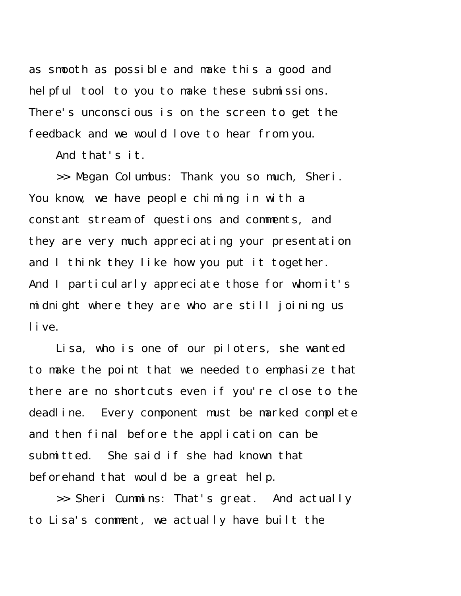as smooth as possible and make this a good and helpful tool to you to make these submissions. There's unconscious is on the screen to get the feedback and we would love to hear from you.

And that's it.

>> Megan Columbus: Thank you so much, Sheri. You know, we have people chiming in with a constant stream of questions and comments, and they are very much appreciating your presentation and I think they like how you put it together. And I particularly appreciate those for whom it's midnight where they are who are still joining us live.

Lisa, who is one of our piloters, she wanted to make the point that we needed to emphasize that there are no shortcuts even if you're close to the deadline. Every component must be marked complete and then final before the application can be submitted. She said if she had known that beforehand that would be a great help.

>> Sheri Cummins: That's great. And actually to Lisa's comment, we actually have built the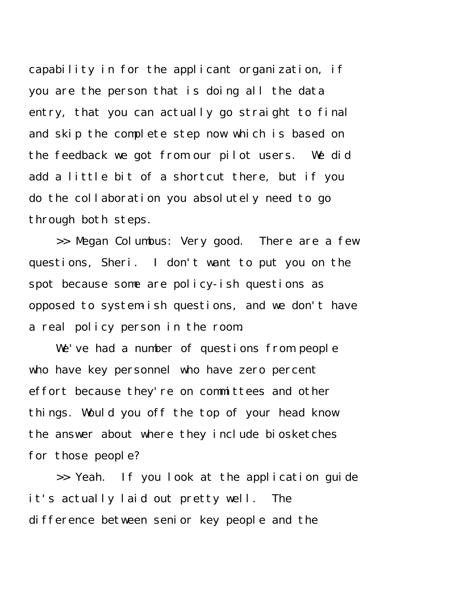capability in for the applicant organization, if you are the person that is doing all the data entry, that you can actually go straight to final and skip the complete step now which is based on the feedback we got from our pilot users. We did add a little bit of a shortcut there, but if you do the collaboration you absolutely need to go through both steps.

>> Megan Columbus: Very good. There are a few questions, Sheri. I don't want to put you on the spot because some are policy-ish questions as opposed to system-ish questions, and we don't have a real policy person in the room.

We've had a number of questions from people who have key personnel who have zero percent effort because they're on committees and other things. Would you off the top of your head know the answer about where they include biosketches for those people?

>> Yeah. If you look at the application guide it's actually laid out pretty well. The difference between senior key people and the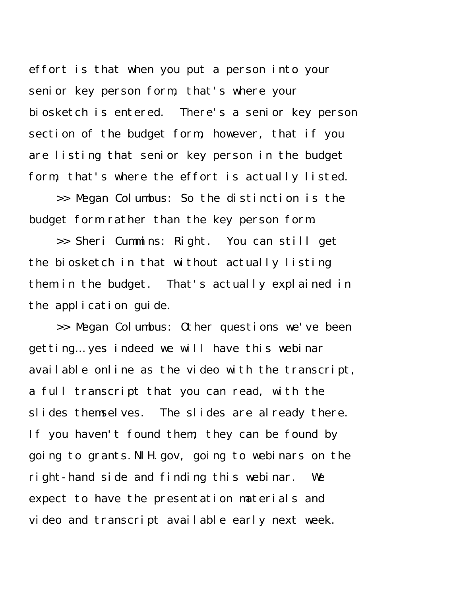effort is that when you put a person into your senior key person form, that's where your biosketch is entered. There's a senior key person section of the budget form, however, that if you are listing that senior key person in the budget form, that's where the effort is actually listed.

>> Megan Columbus: So the distinction is the budget form rather than the key person form.

>> Sheri Cummins: Right. You can still get the biosketch in that without actually listing them in the budget. That's actually explained in the application guide.

>> Megan Columbus: Other questions we've been getting… yes indeed we will have this webinar available online as the video with the transcript, a full transcript that you can read, with the slides themselves. The slides are already there. If you haven't found them, they can be found by going to grants.NIH.gov, going to webinars on the right-hand side and finding this webinar. We expect to have the presentation materials and video and transcript available early next week.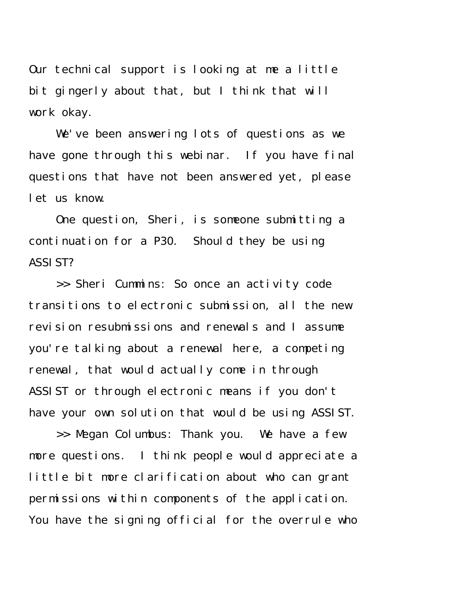Our technical support is looking at me a little bit gingerly about that, but I think that will work okay.

We've been answering lots of questions as we have gone through this webinar. If you have final questions that have not been answered yet, please let us know.

One question, Sheri, is someone submitting a continuation for a P30. Should they be using ASSIST?

>> Sheri Cummins: So once an activity code transitions to electronic submission, all the new revision resubmissions and renewals and I assume you're talking about a renewal here, a competing renewal, that would actually come in through ASSIST or through electronic means if you don't have your own solution that would be using ASSIST.

>> Megan Columbus: Thank you. We have a few more questions. I think people would appreciate a little bit more clarification about who can grant permissions within components of the application. You have the signing official for the overrule who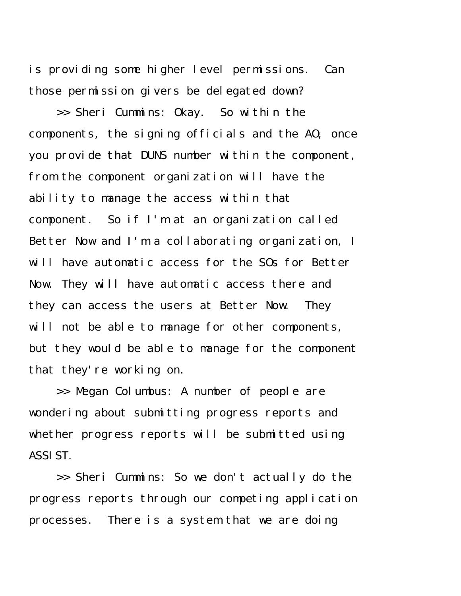is providing some higher level permissions. Can those permission givers be delegated down?

>> Sheri Cummins: Okay. So within the components, the signing officials and the AO, once you provide that DUNS number within the component, from the component organization will have the ability to manage the access within that component. So if I'm at an organization called Better Now and I'm a collaborating organization, I will have automatic access for the SOs for Better Now. They will have automatic access there and they can access the users at Better Now. They will not be able to manage for other components, but they would be able to manage for the component that they're working on.

>> Megan Columbus: A number of people are wondering about submitting progress reports and whether progress reports will be submitted using ASSIST.

>> Sheri Cummins: So we don't actually do the progress reports through our competing application processes. There is a system that we are doing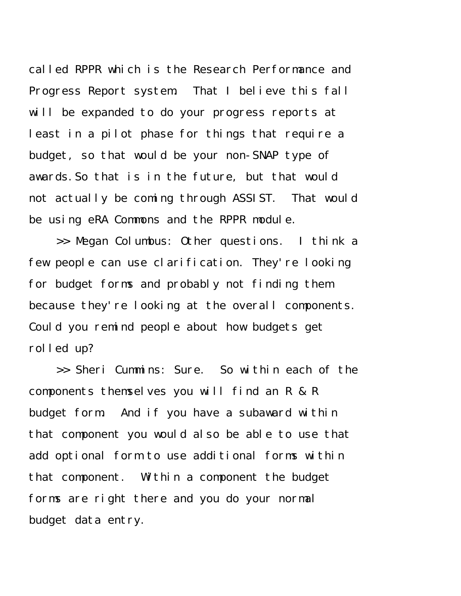called RPPR which is the Research Performance and Progress Report system. That I believe this fall will be expanded to do your progress reports at least in a pilot phase for things that require a budget, so that would be your non-SNAP type of awards.So that is in the future, but that would not actually be coming through ASSIST. That would be using eRA Commons and the RPPR module.

>> Megan Columbus: Other questions. I think a few people can use clarification. They're looking for budget forms and probably not finding them because they're looking at the overall components. Could you remind people about how budgets get rolled up?

>> Sheri Cummins: Sure. So within each of the components themselves you will find an R & R budget form. And if you have a subaward within that component you would also be able to use that add optional form to use additional forms within that component. Within a component the budget forms are right there and you do your normal budget data entry.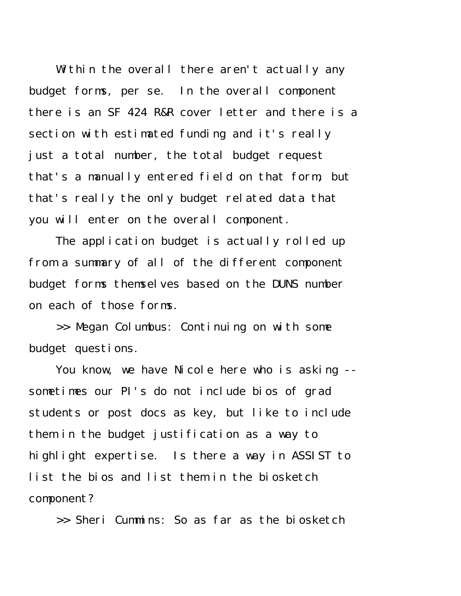Within the overall there aren't actually any budget forms, per se. In the overall component there is an SF 424 R&R cover letter and there is a section with estimated funding and it's really just a total number, the total budget request that's a manually entered field on that form, but that's really the only budget related data that you will enter on the overall component.

The application budget is actually rolled up from a summary of all of the different component budget forms themselves based on the DUNS number on each of those forms.

>> Megan Columbus: Continuing on with some budget questions.

You know, we have Nicole here who is asking - sometimes our PI's do not include bios of grad students or post docs as key, but like to include them in the budget justification as a way to highlight expertise. Is there a way in ASSIST to list the bios and list them in the biosketch component?

>> Sheri Cummins: So as far as the biosketch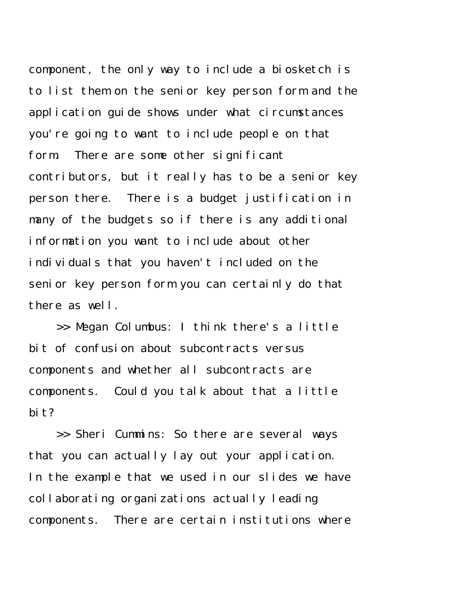component, the only way to include a biosketch is to list them on the senior key person form and the application guide shows under what circumstances you're going to want to include people on that form. There are some other significant contributors, but it really has to be a senior key person there. There is a budget justification in many of the budgets so if there is any additional information you want to include about other individuals that you haven't included on the senior key person form you can certainly do that there as well.

>> Megan Columbus: I think there's a little bit of confusion about subcontracts versus components and whether all subcontracts are components. Could you talk about that a little bit?

>> Sheri Cummins: So there are several ways that you can actually lay out your application. In the example that we used in our slides we have collaborating organizations actually leading components. There are certain institutions where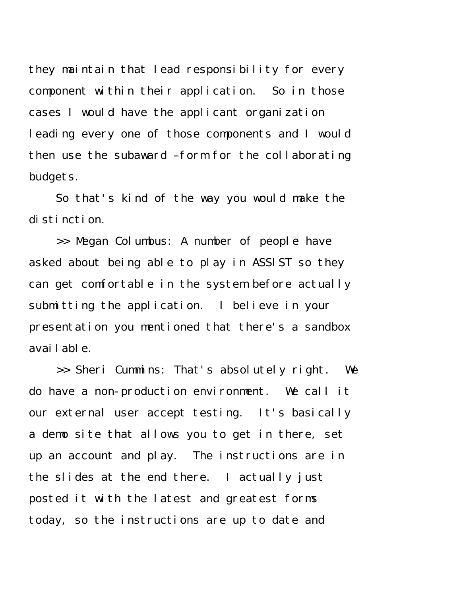they maintain that lead responsibility for every component within their application. So in those cases I would have the applicant organization leading every one of those components and I would then use the subaward –form for the collaborating budgets.

So that's kind of the way you would make the distinction.

>> Megan Columbus: A number of people have asked about being able to play in ASSIST so they can get comfortable in the system before actually submitting the application. I believe in your presentation you mentioned that there's a sandbox available.

>> Sheri Cummins: That's absolutely right. We do have a non-production environment. We call it our external user accept testing. It's basically a demo site that allows you to get in there, set up an account and play. The instructions are in the slides at the end there. I actually just posted it with the latest and greatest forms today, so the instructions are up to date and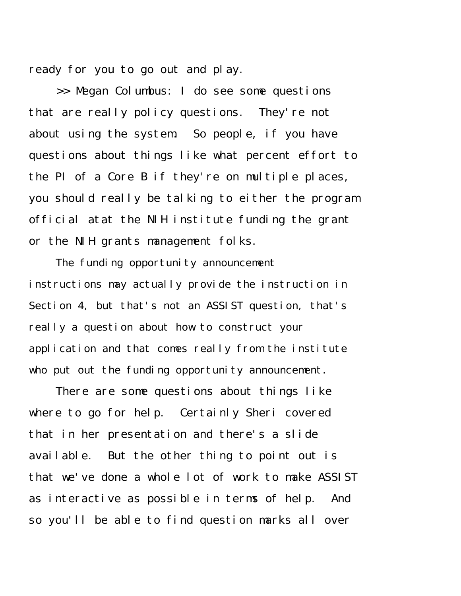ready for you to go out and play.

>> Megan Columbus: I do see some questions that are really policy questions. They're not about using the system. So people, if you have questions about things like what percent effort to the PI of a Core B if they're on multiple places, you should really be talking to either the program official atat the NIH institute funding the grant or the NIH grants management folks.

The funding opportunity announcement instructions may actually provide the instruction in Section 4, but that's not an ASSIST question, that's really a question about how to construct your application and that comes really from the institute who put out the funding opportunity announcement.

There are some questions about things like where to go for help. Certainly Sheri covered that in her presentation and there's a slide available. But the other thing to point out is that we've done a whole lot of work to make ASSIST as interactive as possible in terms of help. And so you'll be able to find question marks all over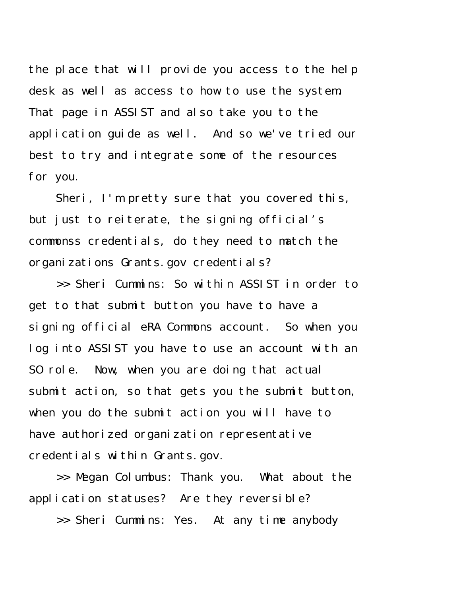the place that will provide you access to the help desk as well as access to how to use the system. That page in ASSIST and also take you to the application guide as well. And so we've tried our best to try and integrate some of the resources for you.

Sheri, I'm pretty sure that you covered this, but just to reiterate, the signing official's commonss credentials, do they need to match the organizations Grants.gov credentials?

>> Sheri Cummins: So within ASSIST in order to get to that submit button you have to have a signing official eRA Commons account. So when you log into ASSIST you have to use an account with an SO role. Now, when you are doing that actual submit action, so that gets you the submit button, when you do the submit action you will have to have authorized organization representative credentials within Grants.gov.

>> Megan Columbus: Thank you. What about the application statuses? Are they reversible?

>> Sheri Cummins: Yes. At any time anybody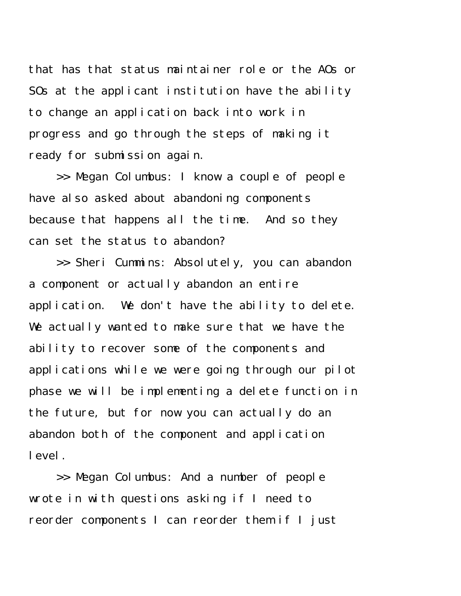that has that status maintainer role or the AOs or SOs at the applicant institution have the ability to change an application back into work in progress and go through the steps of making it ready for submission again.

>> Megan Columbus: I know a couple of people have also asked about abandoning components because that happens all the time. And so they can set the status to abandon?

>> Sheri Cummins: Absolutely, you can abandon a component or actually abandon an entire application. We don't have the ability to delete. We actually wanted to make sure that we have the ability to recover some of the components and applications while we were going through our pilot phase we will be implementing a delete function in the future, but for now you can actually do an abandon both of the component and application level.

>> Megan Columbus: And a number of people wrote in with questions asking if I need to reorder components I can reorder them if I just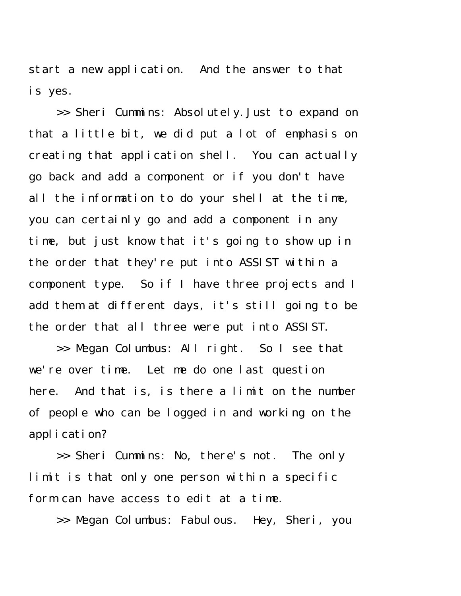start a new application. And the answer to that is yes.

>> Sheri Cummins: Absolutely.Just to expand on that a little bit, we did put a lot of emphasis on creating that application shell. You can actually go back and add a component or if you don't have all the information to do your shell at the time, you can certainly go and add a component in any time, but just know that it's going to show up in the order that they're put into ASSIST within a component type. So if I have three projects and I add them at different days, it's still going to be the order that all three were put into ASSIST.

>> Megan Columbus: All right. So I see that we're over time. Let me do one last question here. And that is, is there a limit on the number of people who can be logged in and working on the application?

>> Sheri Cummins: No, there's not. The only limit is that only one person within a specific form can have access to edit at a time.

>> Megan Columbus: Fabulous. Hey, Sheri, you